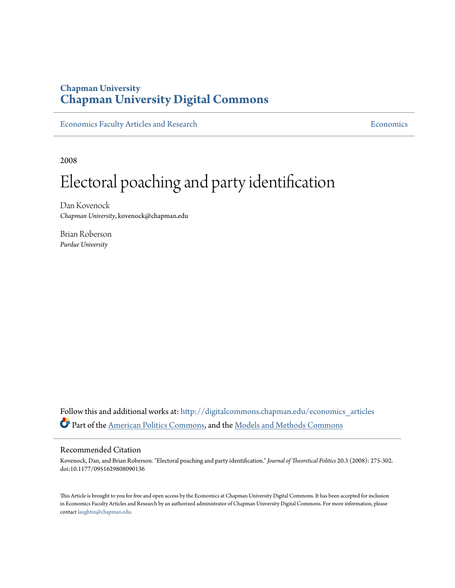# **Chapman University [Chapman University Digital Commons](http://digitalcommons.chapman.edu?utm_source=digitalcommons.chapman.edu%2Feconomics_articles%2F124&utm_medium=PDF&utm_campaign=PDFCoverPages)**

[Economics Faculty Articles and Research](http://digitalcommons.chapman.edu/economics_articles?utm_source=digitalcommons.chapman.edu%2Feconomics_articles%2F124&utm_medium=PDF&utm_campaign=PDFCoverPages) **[Economics](http://digitalcommons.chapman.edu/economics?utm_source=digitalcommons.chapman.edu%2Feconomics_articles%2F124&utm_medium=PDF&utm_campaign=PDFCoverPages)** Economics

2008

# Electoral poaching and party identification

Dan Kovenock *Chapman University*, kovenock@chapman.edu

Brian Roberson *Purdue University*

Follow this and additional works at: [http://digitalcommons.chapman.edu/economics\\_articles](http://digitalcommons.chapman.edu/economics_articles?utm_source=digitalcommons.chapman.edu%2Feconomics_articles%2F124&utm_medium=PDF&utm_campaign=PDFCoverPages) Part of the [American Politics Commons](http://network.bepress.com/hgg/discipline/387?utm_source=digitalcommons.chapman.edu%2Feconomics_articles%2F124&utm_medium=PDF&utm_campaign=PDFCoverPages), and the [Models and Methods Commons](http://network.bepress.com/hgg/discipline/390?utm_source=digitalcommons.chapman.edu%2Feconomics_articles%2F124&utm_medium=PDF&utm_campaign=PDFCoverPages)

#### Recommended Citation

Kovenock, Dan, and Brian Roberson. "Electoral poaching and party identification." *Journal of Theoretical Politics* 20.3 (2008): 275-302. doi:10.1177/0951629808090136

This Article is brought to you for free and open access by the Economics at Chapman University Digital Commons. It has been accepted for inclusion in Economics Faculty Articles and Research by an authorized administrator of Chapman University Digital Commons. For more information, please contact [laughtin@chapman.edu](mailto:laughtin@chapman.edu).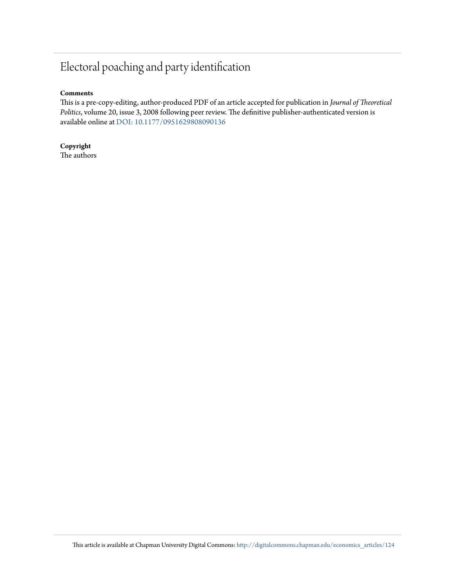# Electoral poaching and party identification

#### **Comments**

This is a pre-copy-editing, author-produced PDF of an article accepted for publication in *Journal of Theoretical Politics*, volume 20, issue 3, 2008 following peer review. The definitive publisher-authenticated version is available online at [DOI: 10.1177/0951629808090136](http://dx.doi.org/10.1177/0951629808090136)

### **Copyright**

The authors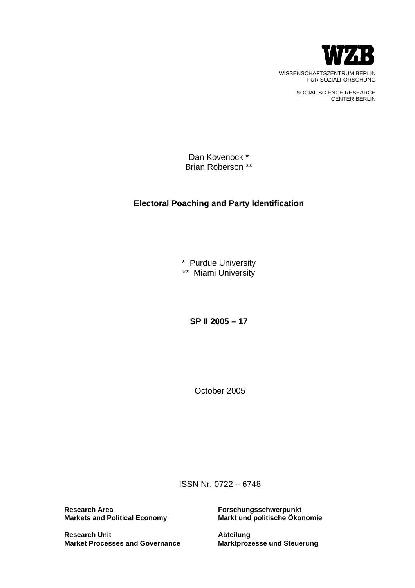

SOCIAL SCIENCE RESEARCH CENTER BERLIN

Dan Kovenock \* Brian Roberson \*\*

# **Electoral Poaching and Party Identification**

\* Purdue University \*\* Miami University

**SP II 2005 – 17** 

October 2005

ISSN Nr. 0722 – 6748

**Research Area Markets and Political Economy** 

**Research Unit Market Processes and Governance**  **Forschungsschwerpunkt Markt und politische Ökonomie** 

**Abteilung Marktprozesse und Steuerung**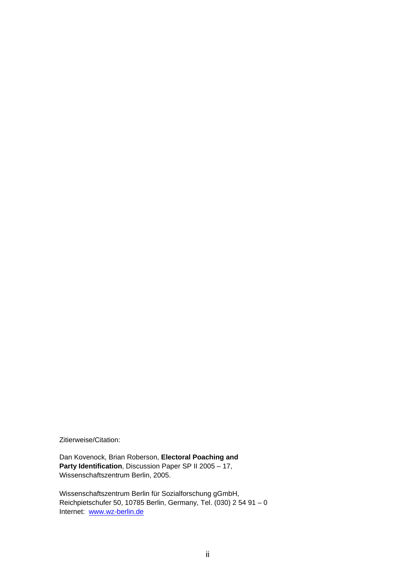Zitierweise/Citation:

Dan Kovenock, Brian Roberson, **Electoral Poaching and Party Identification**, Discussion Paper SP II 2005 – 17, Wissenschaftszentrum Berlin, 2005.

Wissenschaftszentrum Berlin für Sozialforschung gGmbH, Reichpietschufer 50, 10785 Berlin, Germany, Tel. (030) 2 54 91 – 0 Internet: www.wz-berlin.de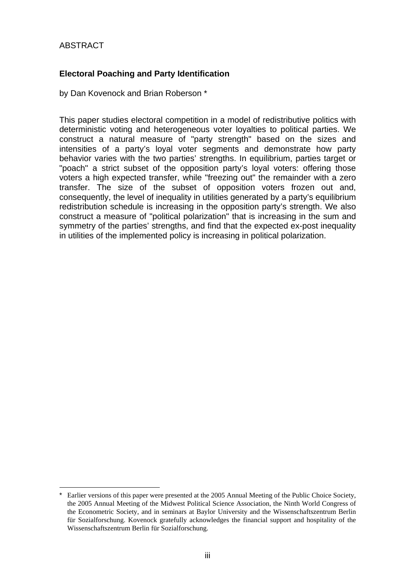# ABSTRACT

 $\overline{a}$ 

## **Electoral Poaching and Party Identification**

by Dan Kovenock and Brian Roberson \*

This paper studies electoral competition in a model of redistributive politics with deterministic voting and heterogeneous voter loyalties to political parties. We construct a natural measure of "party strength" based on the sizes and intensities of a party's loyal voter segments and demonstrate how party behavior varies with the two parties' strengths. In equilibrium, parties target or "poach" a strict subset of the opposition party's loyal voters: offering those voters a high expected transfer, while "freezing out" the remainder with a zero transfer. The size of the subset of opposition voters frozen out and, consequently, the level of inequality in utilities generated by a party's equilibrium redistribution schedule is increasing in the opposition party's strength. We also construct a measure of "political polarization" that is increasing in the sum and symmetry of the parties' strengths, and find that the expected ex-post inequality in utilities of the implemented policy is increasing in political polarization.

<sup>\*</sup> Earlier versions of this paper were presented at the 2005 Annual Meeting of the Public Choice Society, the 2005 Annual Meeting of the Midwest Political Science Association, the Ninth World Congress of the Econometric Society, and in seminars at Baylor University and the Wissenschaftszentrum Berlin für Sozialforschung. Kovenock gratefully acknowledges the financial support and hospitality of the Wissenschaftszentrum Berlin für Sozialforschung.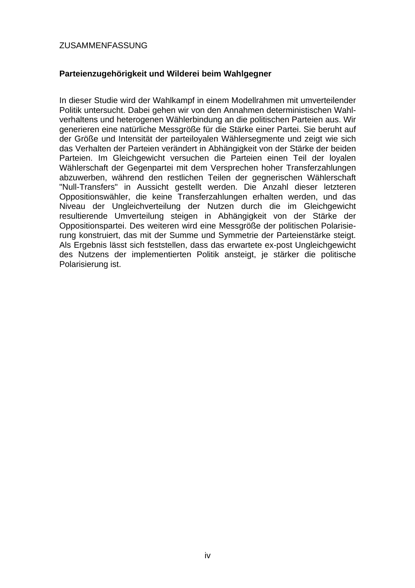#### ZUSAMMENFASSUNG

## **Parteienzugehörigkeit und Wilderei beim Wahlgegner**

In dieser Studie wird der Wahlkampf in einem Modellrahmen mit umverteilender Politik untersucht. Dabei gehen wir von den Annahmen deterministischen Wahlverhaltens und heterogenen Wählerbindung an die politischen Parteien aus. Wir generieren eine natürliche Messgröße für die Stärke einer Partei. Sie beruht auf der Größe und Intensität der parteiloyalen Wählersegmente und zeigt wie sich das Verhalten der Parteien verändert in Abhängigkeit von der Stärke der beiden Parteien. Im Gleichgewicht versuchen die Parteien einen Teil der loyalen Wählerschaft der Gegenpartei mit dem Versprechen hoher Transferzahlungen abzuwerben, während den restlichen Teilen der gegnerischen Wählerschaft "Null-Transfers" in Aussicht gestellt werden. Die Anzahl dieser letzteren Oppositionswähler, die keine Transferzahlungen erhalten werden, und das Niveau der Ungleichverteilung der Nutzen durch die im Gleichgewicht resultierende Umverteilung steigen in Abhängigkeit von der Stärke der Oppositionspartei. Des weiteren wird eine Messgröße der politischen Polarisierung konstruiert, das mit der Summe und Symmetrie der Parteienstärke steigt. Als Ergebnis lässt sich feststellen, dass das erwartete ex-post Ungleichgewicht des Nutzens der implementierten Politik ansteigt, je stärker die politische Polarisierung ist.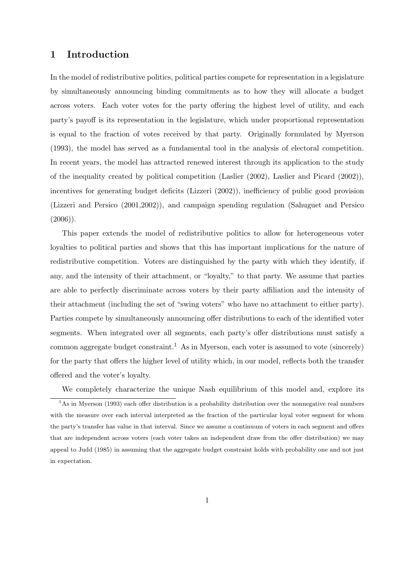#### 1 Introduction

In the model of redistributive politics, political parties compete for representation in a legislature by simultaneously announcing binding commitments as to how they will allocate a budget across voters. Each voter votes for the party offering the highest level of utility, and each party's payoff is its representation in the legislature, which under proportional representation is equal to the fraction of votes received by that party. Originally formulated by Myerson (1993), the model has served as a fundamental tool in the analysis of electoral competition. In recent years, the model has attracted renewed interest through its application to the study of the inequality created by political competition (Laslier  $(2002)$ , Laslier and Picard  $(2002)$ ), incentives for generating budget deficits (Lizzeri (2002)), inefficiency of public good provision (Lizzeri and Persico (2001,2002)), and campaign spending regulation (Sahuguet and Persico  $(2006)$ ).

This paper extends the model of redistributive politics to allow for heterogeneous voter loyalties to political parties and shows that this has important implications for the nature of redistributive competition. Voters are distinguished by the party with which they identify, if any, and the intensity of their attachment, or "loyalty," to that party. We assume that parties are able to perfectly discriminate across voters by their party affiliation and the intensity of their attachment (including the set of "swing voters" who have no attachment to either party). Parties compete by simultaneously announcing offer distributions to each of the identified voter segments. When integrated over all segments, each party's offer distributions must satisfy a common aggregate budget constraint.<sup>1</sup> As in Myerson, each voter is assumed to vote (sincerely) for the party that offers the higher level of utility which, in our model, reflects both the transfer offered and the voter's loyalty.

We completely characterize the unique Nash equilibrium of this model and, explore its  $1<sup>1</sup>$ As in Myerson (1993) each offer distribution is a probability distribution over the nonnegative real numbers with the measure over each interval interpreted as the fraction of the particular loyal voter segment for whom the party's transfer has value in that interval. Since we assume a continuum of voters in each segment and offers that are independent across voters (each voter takes an independent draw from the offer distribution) we may appeal to Judd (1985) in assuming that the aggregate budget constraint holds with probability one and not just in expectation.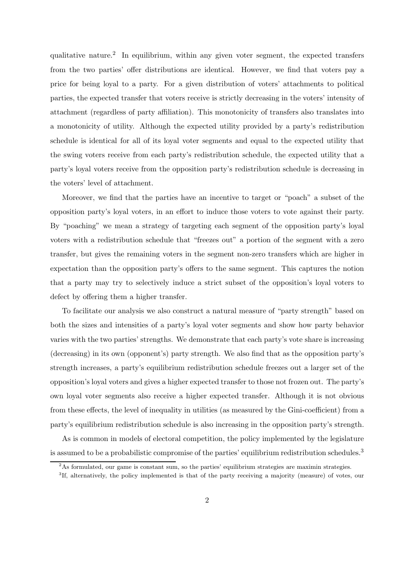qualitative nature.<sup>2</sup> In equilibrium, within any given voter segment, the expected transfers from the two parties' offer distributions are identical. However, we find that voters pay a price for being loyal to a party. For a given distribution of voters' attachments to political parties, the expected transfer that voters receive is strictly decreasing in the voters' intensity of attachment (regardless of party affiliation). This monotonicity of transfers also translates into a monotonicity of utility. Although the expected utility provided by a party's redistribution schedule is identical for all of its loyal voter segments and equal to the expected utility that the swing voters receive from each party's redistribution schedule, the expected utility that a party's loyal voters receive from the opposition party's redistribution schedule is decreasing in the voters' level of attachment.

Moreover, we find that the parties have an incentive to target or "poach" a subset of the opposition party's loyal voters, in an effort to induce those voters to vote against their party. By "poaching" we mean a strategy of targeting each segment of the opposition party's loyal voters with a redistribution schedule that "freezes out" a portion of the segment with a zero transfer, but gives the remaining voters in the segment non-zero transfers which are higher in expectation than the opposition party's offers to the same segment. This captures the notion that a party may try to selectively induce a strict subset of the opposition's loyal voters to defect by offering them a higher transfer.

To facilitate our analysis we also construct a natural measure of "party strength" based on both the sizes and intensities of a party's loyal voter segments and show how party behavior varies with the two parties' strengths. We demonstrate that each party's vote share is increasing (decreasing) in its own (opponent's) party strength. We also find that as the opposition party's strength increases, a party's equilibrium redistribution schedule freezes out a larger set of the opposition's loyal voters and gives a higher expected transfer to those not frozen out. The party's own loyal voter segments also receive a higher expected transfer. Although it is not obvious from these effects, the level of inequality in utilities (as measured by the Gini-coefficient) from a party's equilibrium redistribution schedule is also increasing in the opposition party's strength.

As is common in models of electoral competition, the policy implemented by the legislature is assumed to be a probabilistic compromise of the parties' equilibrium redistribution schedules.<sup>3</sup>

<sup>&</sup>lt;sup>2</sup>As formulated, our game is constant sum, so the parties' equilibrium strategies are maximin strategies.

<sup>&</sup>lt;sup>3</sup>If, alternatively, the policy implemented is that of the party receiving a majority (measure) of votes, our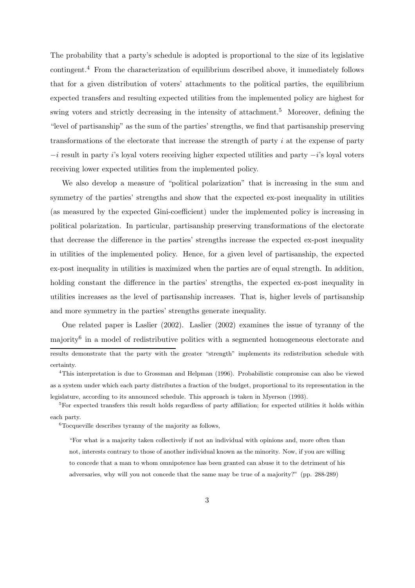The probability that a party's schedule is adopted is proportional to the size of its legislative contingent.<sup>4</sup> From the characterization of equilibrium described above, it immediately follows that for a given distribution of voters' attachments to the political parties, the equilibrium expected transfers and resulting expected utilities from the implemented policy are highest for swing voters and strictly decreasing in the intensity of attachment.<sup>5</sup> Moreover, defining the "level of partisanship" as the sum of the parties' strengths, we find that partisanship preserving transformations of the electorate that increase the strength of party  $i$  at the expense of party  $-i$  result in party i's loyal voters receiving higher expected utilities and party  $-i$ 's loyal voters receiving lower expected utilities from the implemented policy.

We also develop a measure of "political polarization" that is increasing in the sum and symmetry of the parties' strengths and show that the expected ex-post inequality in utilities (as measured by the expected Gini-coefficient) under the implemented policy is increasing in political polarization. In particular, partisanship preserving transformations of the electorate that decrease the difference in the parties' strengths increase the expected ex-post inequality in utilities of the implemented policy. Hence, for a given level of partisanship, the expected ex-post inequality in utilities is maximized when the parties are of equal strength. In addition, holding constant the difference in the parties' strengths, the expected ex-post inequality in utilities increases as the level of partisanship increases. That is, higher levels of partisanship and more symmetry in the parties' strengths generate inequality.

One related paper is Laslier (2002). Laslier (2002) examines the issue of tyranny of the majority<sup>6</sup> in a model of redistributive politics with a segmented homogeneous electorate and results demonstrate that the party with the greater "strength" implements its redistribution schedule with certainty.

 ${}^{6}$ Tocqueville describes tyranny of the majority as follows,

"For what is a majority taken collectively if not an individual with opinions and, more often than not, interests contrary to those of another individual known as the minority. Now, if you are willing to concede that a man to whom omnipotence has been granted can abuse it to the detriment of his adversaries, why will you not concede that the same may be true of a majority?" (pp. 288-289)

<sup>4</sup>This interpretation is due to Grossman and Helpman (1996). Probabilistic compromise can also be viewed as a system under which each party distributes a fraction of the budget, proportional to its representation in the legislature, according to its announced schedule. This approach is taken in Myerson (1993).

<sup>&</sup>lt;sup>5</sup>For expected transfers this result holds regardless of party affiliation; for expected utilities it holds within each party.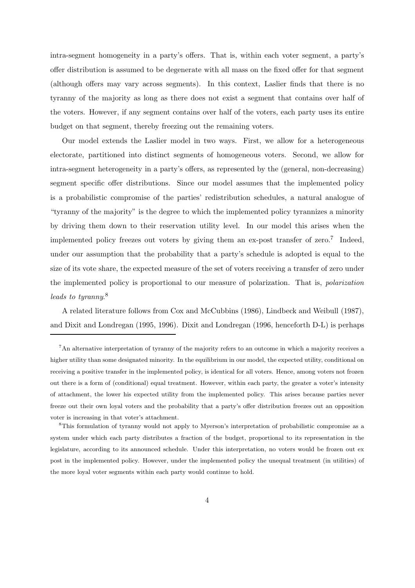intra-segment homogeneity in a party's offers. That is, within each voter segment, a party's offer distribution is assumed to be degenerate with all mass on the fixed offer for that segment (although offers may vary across segments). In this context, Laslier finds that there is no tyranny of the majority as long as there does not exist a segment that contains over half of the voters. However, if any segment contains over half of the voters, each party uses its entire budget on that segment, thereby freezing out the remaining voters.

Our model extends the Laslier model in two ways. First, we allow for a heterogeneous electorate, partitioned into distinct segments of homogeneous voters. Second, we allow for intra-segment heterogeneity in a party's offers, as represented by the (general, non-decreasing) segment specific offer distributions. Since our model assumes that the implemented policy is a probabilistic compromise of the parties' redistribution schedules, a natural analogue of "tyranny of the majority" is the degree to which the implemented policy tyrannizes a minority by driving them down to their reservation utility level. In our model this arises when the implemented policy freezes out voters by giving them an ex-post transfer of zero.<sup>7</sup> Indeed, under our assumption that the probability that a party's schedule is adopted is equal to the size of its vote share, the expected measure of the set of voters receiving a transfer of zero under the implemented policy is proportional to our measure of polarization. That is, polarization leads to tyranny.<sup>8</sup>

A related literature follows from Cox and McCubbins (1986), Lindbeck and Weibull (1987), and Dixit and Londregan (1995, 1996). Dixit and Londregan (1996, henceforth D-L) is perhaps

<sup>7</sup>An alternative interpretation of tyranny of the majority refers to an outcome in which a majority receives a higher utility than some designated minority. In the equilibrium in our model, the expected utility, conditional on receiving a positive transfer in the implemented policy, is identical for all voters. Hence, among voters not frozen out there is a form of (conditional) equal treatment. However, within each party, the greater a voter's intensity of attachment, the lower his expected utility from the implemented policy. This arises because parties never freeze out their own loyal voters and the probability that a party's offer distribution freezes out an opposition voter is increasing in that voter's attachment.

<sup>8</sup>This formulation of tyranny would not apply to Myerson's interpretation of probabilistic compromise as a system under which each party distributes a fraction of the budget, proportional to its representation in the legislature, according to its announced schedule. Under this interpretation, no voters would be frozen out ex post in the implemented policy. However, under the implemented policy the unequal treatment (in utilities) of the more loyal voter segments within each party would continue to hold.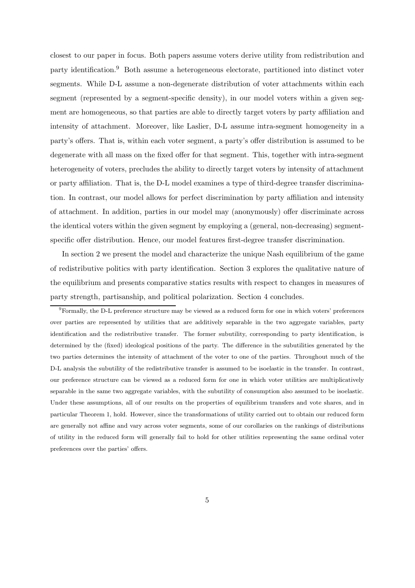closest to our paper in focus. Both papers assume voters derive utility from redistribution and party identification.<sup>9</sup> Both assume a heterogeneous electorate, partitioned into distinct voter segments. While D-L assume a non-degenerate distribution of voter attachments within each segment (represented by a segment-specific density), in our model voters within a given segment are homogeneous, so that parties are able to directly target voters by party affiliation and intensity of attachment. Moreover, like Laslier, D-L assume intra-segment homogeneity in a party's offers. That is, within each voter segment, a party's offer distribution is assumed to be degenerate with all mass on the fixed offer for that segment. This, together with intra-segment heterogeneity of voters, precludes the ability to directly target voters by intensity of attachment or party affiliation. That is, the D-L model examines a type of third-degree transfer discrimination. In contrast, our model allows for perfect discrimination by party affiliation and intensity of attachment. In addition, parties in our model may (anonymously) offer discriminate across the identical voters within the given segment by employing a (general, non-decreasing) segmentspecific offer distribution. Hence, our model features first-degree transfer discrimination.

In section 2 we present the model and characterize the unique Nash equilibrium of the game of redistributive politics with party identification. Section 3 explores the qualitative nature of the equilibrium and presents comparative statics results with respect to changes in measures of party strength, partisanship, and political polarization. Section 4 concludes.

 $9$ Formally, the D-L preference structure may be viewed as a reduced form for one in which voters' preferences over parties are represented by utilities that are additively separable in the two aggregate variables, party identification and the redistributive transfer. The former subutility, corresponding to party identification, is determined by the (fixed) ideological positions of the party. The difference in the subutilities generated by the two parties determines the intensity of attachment of the voter to one of the parties. Throughout much of the D-L analysis the subutility of the redistributive transfer is assumed to be isoelastic in the transfer. In contrast, our preference structure can be viewed as a reduced form for one in which voter utilities are multiplicatively separable in the same two aggregate variables, with the subutility of consumption also assumed to be isoelastic. Under these assumptions, all of our results on the properties of equilibrium transfers and vote shares, and in particular Theorem 1, hold. However, since the transformations of utility carried out to obtain our reduced form are generally not affine and vary across voter segments, some of our corollaries on the rankings of distributions of utility in the reduced form will generally fail to hold for other utilities representing the same ordinal voter preferences over the parties' offers.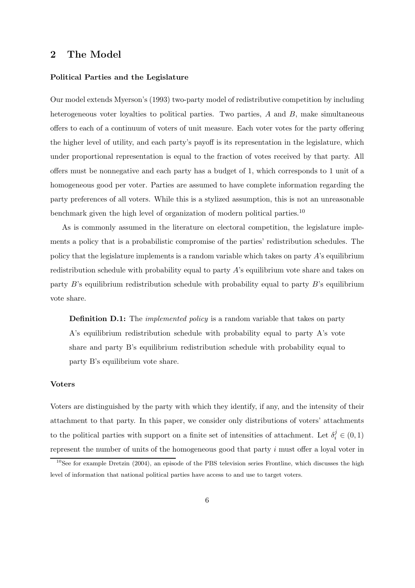#### 2 The Model

#### Political Parties and the Legislature

Our model extends Myerson's (1993) two-party model of redistributive competition by including heterogeneous voter loyalties to political parties. Two parties, A and B, make simultaneous offers to each of a continuum of voters of unit measure. Each voter votes for the party offering the higher level of utility, and each party's payoff is its representation in the legislature, which under proportional representation is equal to the fraction of votes received by that party. All offers must be nonnegative and each party has a budget of 1, which corresponds to 1 unit of a homogeneous good per voter. Parties are assumed to have complete information regarding the party preferences of all voters. While this is a stylized assumption, this is not an unreasonable benchmark given the high level of organization of modern political parties.<sup>10</sup>

As is commonly assumed in the literature on electoral competition, the legislature implements a policy that is a probabilistic compromise of the parties' redistribution schedules. The policy that the legislature implements is a random variable which takes on party  $A$ 's equilibrium redistribution schedule with probability equal to party A's equilibrium vote share and takes on party  $B$ 's equilibrium redistribution schedule with probability equal to party  $B$ 's equilibrium vote share.

**Definition D.1:** The *implemented policy* is a random variable that takes on party A's equilibrium redistribution schedule with probability equal to party A's vote share and party B's equilibrium redistribution schedule with probability equal to party B's equilibrium vote share.

#### Voters

Voters are distinguished by the party with which they identify, if any, and the intensity of their attachment to that party. In this paper, we consider only distributions of voters' attachments to the political parties with support on a finite set of intensities of attachment. Let  $\delta_i^j \in (0,1)$ represent the number of units of the homogeneous good that party i must offer a loyal voter in

 $10$ See for example Dretzin (2004), an episode of the PBS television series Frontline, which discusses the high level of information that national political parties have access to and use to target voters.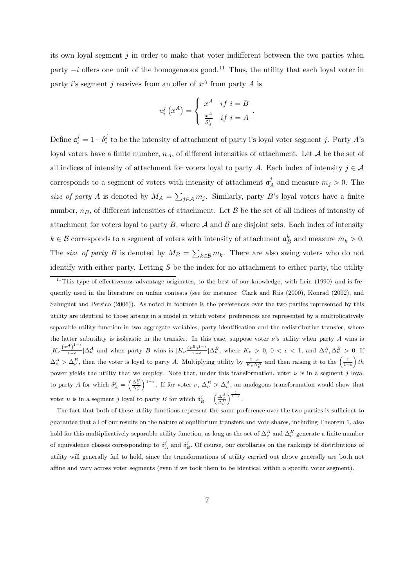its own loyal segment j in order to make that voter indifferent between the two parties when party  $-i$  offers one unit of the homogeneous good.<sup>11</sup> Thus, the utility that each loyal voter in party *i*'s segment *j* receives from an offer of  $x^A$  from party *A* is

$$
u_i^j\left(x^A\right) = \begin{cases} x^A & if \ i = B \\ \frac{x^A}{\delta_A^j} & if \ i = A \end{cases}.
$$

Define  $\mathfrak{a}_i^j = 1 - \delta_i^j$  $i<sub>i</sub>$  to be the intensity of attachment of party i's loyal voter segment j. Party A's loyal voters have a finite number,  $n_A$ , of different intensities of attachment. Let  $A$  be the set of all indices of intensity of attachment for voters loyal to party A. Each index of intensity  $j \in \mathcal{A}$ corresponds to a segment of voters with intensity of attachment  $\mathfrak{a}^j$  $_{A}^{j}$  and measure  $m_{j} > 0$ . The size of party A is denoted by  $M_A = \sum_{j \in A} m_j$ . Similarly, party B's loyal voters have a finite number,  $n_B$ , of different intensities of attachment. Let  $\beta$  be the set of all indices of intensity of attachment for voters loyal to party  $B$ , where  $A$  and  $B$  are disjoint sets. Each index of intensity  $k \in \mathcal{B}$  corresponds to a segment of voters with intensity of attachment  $\mathfrak{a}_B^k$  and measure  $m_k > 0$ . The size of party B is denoted by  $M_B = \sum_{k \in \mathcal{B}} m_k$ . There are also swing voters who do not identify with either party. Letting  $S$  be the index for no attachment to either party, the utility

 $11$ This type of effectiveness advantage originates, to the best of our knowledge, with Lein (1990) and is frequently used in the literature on unfair contests (see for instance: Clark and Riis (2000), Konrad (2002), and Sahuguet and Persico (2006)). As noted in footnote 9, the preferences over the two parties represented by this utility are identical to those arising in a model in which voters' preferences are represented by a multiplicatively separable utility function in two aggregate variables, party identification and the redistributive transfer, where the latter subutility is isoleastic in the transfer. In this case, suppose voter  $\nu$ 's utility when party A wins is  $[K_{\nu}\frac{(x^A)^{1-\epsilon}}{1-\epsilon}]$  $\frac{(A)^{1-\epsilon}}{1-\epsilon}$   $\Delta_{\nu}^{A}$  and when party B wins is  $\left[K_{\nu}\frac{(x^{B})^{1-\epsilon}}{1-\epsilon}\right]$  $\frac{B}{1-\epsilon}$ ] $\Delta^B_\nu$ , where  $K_\nu > 0$ ,  $0 < \epsilon < 1$ , and  $\Delta^A_\nu, \Delta^B_\nu > 0$ . If  $\Delta_{\nu}^{A} > \Delta_{\nu}^{B}$ , then the voter is loyal to party A. Multiplying utility by  $\frac{1-\epsilon}{K_{\nu}\Delta_{\nu}^{B}}$  and then raising it to the  $\left(\frac{1}{1-\epsilon}\right)$ th power yields the utility that we employ. Note that, under this transformation, voter  $\nu$  is in a segment j loyal to party A for which  $\delta_A^j = \left(\frac{\Delta_b^B}{\Delta_b^j}\right)^{\frac{1}{1-\epsilon}}$ . If for voter  $\nu$ ,  $\Delta_{\nu}^B > \Delta_{\nu}^A$ , an analogous transformation would show that voter  $\nu$  is in a segment j loyal to party B for which  $\delta_B^j = \left(\frac{\Delta_A^A}{\Delta_B^B}\right)^{\frac{1}{1-\epsilon}}$ .

The fact that both of these utility functions represent the same preference over the two parties is sufficient to guarantee that all of our results on the nature of equilibrium transfers and vote shares, including Theorem 1, also hold for this multiplicatively separable utility function, as long as the set of  $\Delta^A_\nu$  and  $\Delta^B_\nu$  generate a finite number of equivalence classes corresponding to  $\delta_A^j$  and  $\delta_B^j$ . Of course, our corollaries on the rankings of distributions of utility will generally fail to hold, since the transformations of utility carried out above generally are both not affine and vary across voter segments (even if we took them to be identical within a specific voter segment).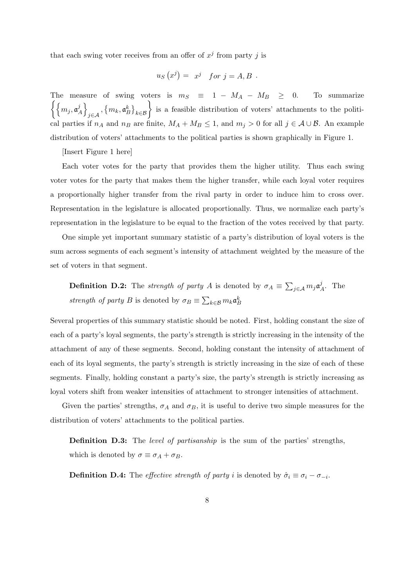that each swing voter receives from an offer of  $x^j$  from party j is

$$
u_S(x^j) = x^j \quad for \ j = A, B \ .
$$

The measure of swing voters is  $m<sub>S</sub> \equiv 1 - M<sub>A</sub> - M<sub>B</sub> \ge 0$ . To summarize  $\left\{\right\}_{m_j,\mathfrak{a}^j_{\scriptscriptstyle\neq}}$  $\left\{ \begin{array}{c} j \\ A \end{array} \right\}$  $\left\{m_k, \mathfrak{a}_B^k\right\}_{k\in\mathcal{B}}$  is a feasible distribution of voters' attachments to the political parties if  $n_A$  and  $n_B$  are finite,  $M_A + M_B \le 1$ , and  $m_j > 0$  for all  $j \in A \cup B$ . An example distribution of voters' attachments to the political parties is shown graphically in Figure 1.

[Insert Figure 1 here]

Each voter votes for the party that provides them the higher utility. Thus each swing voter votes for the party that makes them the higher transfer, while each loyal voter requires a proportionally higher transfer from the rival party in order to induce him to cross over. Representation in the legislature is allocated proportionally. Thus, we normalize each party's representation in the legislature to be equal to the fraction of the votes received by that party.

One simple yet important summary statistic of a party's distribution of loyal voters is the sum across segments of each segment's intensity of attachment weighted by the measure of the set of voters in that segment.

**Definition D.2:** The strength of party A is denoted by  $\sigma_A \equiv \sum_{j \in A} m_j \mathfrak{a}_j^j$  $I_A^J$ . The strength of party B is denoted by  $\sigma_B \equiv \sum_{k \in \mathcal{B}} m_k \mathfrak{a}_{B}^k$ 

Several properties of this summary statistic should be noted. First, holding constant the size of each of a party's loyal segments, the party's strength is strictly increasing in the intensity of the attachment of any of these segments. Second, holding constant the intensity of attachment of each of its loyal segments, the party's strength is strictly increasing in the size of each of these segments. Finally, holding constant a party's size, the party's strength is strictly increasing as loyal voters shift from weaker intensities of attachment to stronger intensities of attachment.

Given the parties' strengths,  $\sigma_A$  and  $\sigma_B$ , it is useful to derive two simple measures for the distribution of voters' attachments to the political parties.

**Definition D.3:** The level of partisanship is the sum of the parties' strengths, which is denoted by  $\sigma \equiv \sigma_A + \sigma_B$ .

**Definition D.4:** The *effective strength of party i* is denoted by  $\hat{\sigma}_i \equiv \sigma_i - \sigma_{-i}$ .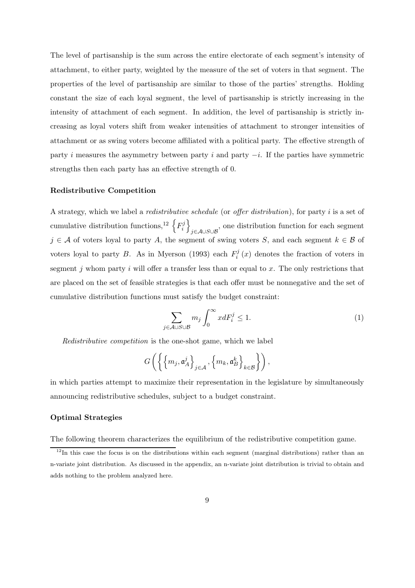The level of partisanship is the sum across the entire electorate of each segment's intensity of attachment, to either party, weighted by the measure of the set of voters in that segment. The properties of the level of partisanship are similar to those of the parties' strengths. Holding constant the size of each loyal segment, the level of partisanship is strictly increasing in the intensity of attachment of each segment. In addition, the level of partisanship is strictly increasing as loyal voters shift from weaker intensities of attachment to stronger intensities of attachment or as swing voters become affiliated with a political party. The effective strength of party i measures the asymmetry between party i and party  $-i$ . If the parties have symmetric strengths then each party has an effective strength of 0.

#### Redistributive Competition

A strategy, which we label a *redistributive schedule* (or *offer distribution*), for party  $i$  is a set of cumulative distribution functions,<sup>12</sup>  $\left\{F_i^j\right\}$  $\begin{bmatrix} j \\ i \end{bmatrix}$ j∈A∪S∪B , one distribution function for each segment  $j \in A$  of voters loyal to party A, the segment of swing voters S, and each segment  $k \in B$  of voters loyal to party B. As in Myerson (1993) each  $F_i^j$  $i^j$   $(x)$  denotes the fraction of voters in segment j whom party i will offer a transfer less than or equal to  $x$ . The only restrictions that are placed on the set of feasible strategies is that each offer must be nonnegative and the set of cumulative distribution functions must satisfy the budget constraint:

$$
\sum_{j \in \mathcal{A} \cup S \cup \mathcal{B}} m_j \int_0^\infty x dF_i^j \le 1. \tag{1}
$$

Redistributive competition is the one-shot game, which we label

$$
G\left(\left\{\left\{m_j,\mathfrak{a}_A^j\right\}_{j\in\mathcal{A}},\left\{m_k,\mathfrak{a}_B^k\right\}_{k\in\mathcal{B}}\right\}\right),\right.
$$

in which parties attempt to maximize their representation in the legislature by simultaneously announcing redistributive schedules, subject to a budget constraint.

#### Optimal Strategies

The following theorem characterizes the equilibrium of the redistributive competition game.

 $12$ In this case the focus is on the distributions within each segment (marginal distributions) rather than an n-variate joint distribution. As discussed in the appendix, an n-variate joint distribution is trivial to obtain and adds nothing to the problem analyzed here.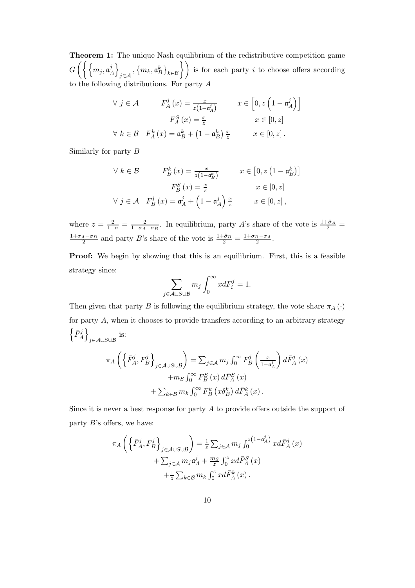Theorem 1: The unique Nash equilibrium of the redistributive competition game  $G\left(\left\{ \left\{ m_{j},\mathfrak{a}_{j}^{j}\right\} \right\} \right)$  $\left\{ \begin{array}{c} j \\ A \end{array} \right\}$  $\{m_k, \mathfrak{a}_B^k\}_{k\in\mathcal{B}}\}$  is for each party i to choose offers according to the following distributions. For party A

$$
\forall j \in \mathcal{A} \qquad F_A^j(x) = \frac{x}{z(1 - \mathfrak{a}_A^j)} \qquad x \in \left[0, z\left(1 - \mathfrak{a}_A^j\right)\right]
$$

$$
F_A^S(x) = \frac{x}{z} \qquad x \in \left[0, z\right]
$$

$$
\forall k \in \mathcal{B} \quad F_A^k(x) = \mathfrak{a}_B^k + \left(1 - \mathfrak{a}_B^k\right) \frac{x}{z} \qquad x \in \left[0, z\right].
$$

Similarly for party B

$$
\forall k \in \mathcal{B} \qquad F_B^k(x) = \frac{x}{z(1 - \mathfrak{a}_B^k)} \qquad x \in [0, z(1 - \mathfrak{a}_B^k)]
$$

$$
F_B^S(x) = \frac{x}{z} \qquad x \in [0, z]
$$

$$
\forall j \in \mathcal{A} \quad F_B^j(x) = \mathfrak{a}_A^j + (1 - \mathfrak{a}_A^j) \frac{x}{z} \qquad x \in [0, z],
$$

where  $z = \frac{2}{1-\sigma} = \frac{2}{1-\sigma_A-\sigma_B}$ . In equilibrium, party A's share of the vote is  $\frac{1+\hat{\sigma}_A}{2}$  $\frac{1+\sigma_A-\sigma_B}{2}$  and party B's share of the vote is  $\frac{1+\hat{\sigma}_B}{2} = \frac{1+\sigma_B-\sigma_A}{2}$ .

**Proof:** We begin by showing that this is an equilibrium. First, this is a feasible strategy since:

$$
\sum_{j \in \mathcal{A} \cup S \cup \mathcal{B}} m_j \int_0^\infty x dF_i^j = 1.
$$

Then given that party B is following the equilibrium strategy, the vote share  $\pi_A(\cdot)$ for party A, when it chooses to provide transfers according to an arbitrary strategy  $\left\{\bar{F}^j_A\right\}$ j∈A∪S∪B is:  $\pi_A\left(\left\{\bar{F}^j_A, F^j_B\right\}_{j\in\mathcal{A}\cup S\cup\mathcal{B}}\right)=\sum_{j\in\mathcal{A}}m_j\int_0^\infty F^j_E$ B  $\left( \frac{x}{x} \right)$  $1-\mathfrak{a}_A^j$  $\int d\bar{F}^{j}_{A}\left(x\right)$ 

$$
+m_S \int_0^\infty F_B^S(x) d\bar{F}_A^S(x)
$$
  
+ 
$$
\sum_{k \in \mathcal{B}} m_k \int_0^\infty F_B^k(x) \delta_B^k d\bar{F}_A^k(x).
$$

Since it is never a best response for party A to provide offers outside the support of party  $B$ 's offers, we have:

$$
\pi_A \left( \left\{ \bar{F}_A^j, F_B^j \right\}_{j \in \mathcal{A} \cup S \cup \mathcal{B}} \right) = \frac{1}{z} \sum_{j \in \mathcal{A}} m_j \int_0^{z \left(1 - \mathfrak{a}_A^j\right)} x d\bar{F}_A^j(x) \n+ \sum_{j \in \mathcal{A}} m_j \mathfrak{a}_A^j + \frac{m_S}{z} \int_0^z x d\bar{F}_A^S(x) \n+ \frac{1}{z} \sum_{k \in \mathcal{B}} m_k \int_0^z x d\bar{F}_A^k(x).
$$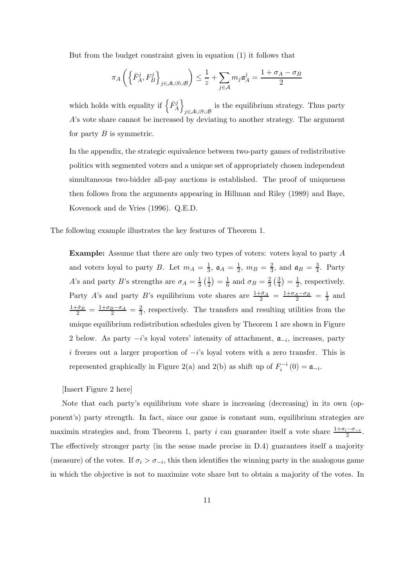But from the budget constraint given in equation (1) it follows that

$$
\pi_A \left( \left\{ \bar{F}_A^j, F_B^j \right\}_{j \in \mathcal{A} \cup S \cup \mathcal{B}} \right) \le \frac{1}{z} + \sum_{j \in \mathcal{A}} m_j \mathfrak{a}_A^j = \frac{1 + \sigma_A - \sigma_B}{2}
$$

which holds with equality if  $\left\{\bar{F}_A^j\right\}$ is the equilibrium strategy. Thus party  $j \in \mathcal{A} \cup S \cup \mathcal{B}$ A's vote share cannot be increased by deviating to another strategy. The argument for party  $B$  is symmetric.

In the appendix, the strategic equivalence between two-party games of redistributive politics with segmented voters and a unique set of appropriately chosen independent simultaneous two-bidder all-pay auctions is established. The proof of uniqueness then follows from the arguments appearing in Hillman and Riley (1989) and Baye, Kovenock and de Vries (1996). Q.E.D.

The following example illustrates the key features of Theorem 1.

Example: Assume that there are only two types of voters: voters loyal to party A and voters loyal to party B. Let  $m_A = \frac{1}{3}$  $\frac{1}{3}$ ,  $\mathfrak{a}_A = \frac{1}{2}$  $\frac{1}{2}$ ,  $m_B = \frac{2}{3}$  $\frac{2}{3}$ , and  $\mathfrak{a}_B = \frac{3}{4}$  $\frac{3}{4}$ . Party A's and party B's strengths are  $\sigma_A = \frac{1}{3} \left( \frac{1}{2} \right)$  $(\frac{1}{2}) = \frac{1}{6}$  and  $\sigma_B = \frac{2}{3} (\frac{3}{4})$  $(\frac{3}{4}) = \frac{1}{2}$ , respectively. Party A's and party B's equilibrium vote shares are  $\frac{1+\hat{\sigma}_A}{2} = \frac{1+\sigma_A-\sigma_B}{2} = \frac{1}{3}$  $\frac{1}{3}$  and  $\frac{1+\hat{\sigma}_B}{2} = \frac{1+\sigma_B-\sigma_A}{2} = \frac{2}{3}$  $\frac{2}{3}$ , respectively. The transfers and resulting utilities from the unique equilibrium redistribution schedules given by Theorem 1 are shown in Figure 2 below. As party  $-i$ 's loyal voters' intensity of attachment,  $a_{-i}$ , increases, party i freezes out a larger proportion of  $-i$ 's loyal voters with a zero transfer. This is represented graphically in Figure 2(a) and 2(b) as shift up of  $F_i^{-i}(0) = \mathfrak{a}_{-i}$ .

[Insert Figure 2 here]

Note that each party's equilibrium vote share is increasing (decreasing) in its own (opponent's) party strength. In fact, since our game is constant sum, equilibrium strategies are maximin strategies and, from Theorem 1, party i can guarantee itself a vote share  $\frac{1+\sigma_i-\sigma_{-i}}{2}$ . The effectively stronger party (in the sense made precise in D.4) guarantees itself a majority (measure) of the votes. If  $\sigma_i > \sigma_{-i}$ , this then identifies the winning party in the analogous game in which the objective is not to maximize vote share but to obtain a majority of the votes. In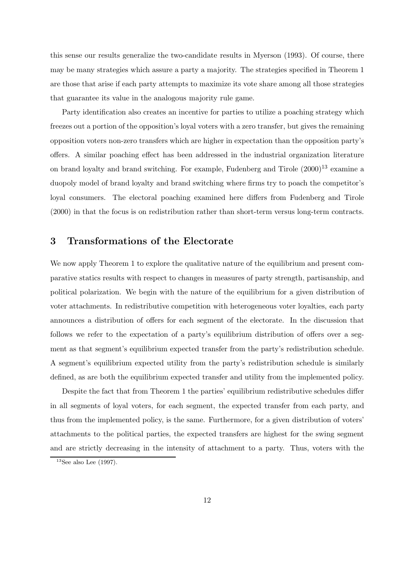this sense our results generalize the two-candidate results in Myerson (1993). Of course, there may be many strategies which assure a party a majority. The strategies specified in Theorem 1 are those that arise if each party attempts to maximize its vote share among all those strategies that guarantee its value in the analogous majority rule game.

Party identification also creates an incentive for parties to utilize a poaching strategy which freezes out a portion of the opposition's loyal voters with a zero transfer, but gives the remaining opposition voters non-zero transfers which are higher in expectation than the opposition party's offers. A similar poaching effect has been addressed in the industrial organization literature on brand loyalty and brand switching. For example, Fudenberg and Tirole  $(2000)^{13}$  examine a duopoly model of brand loyalty and brand switching where firms try to poach the competitor's loyal consumers. The electoral poaching examined here differs from Fudenberg and Tirole (2000) in that the focus is on redistribution rather than short-term versus long-term contracts.

#### 3 Transformations of the Electorate

We now apply Theorem 1 to explore the qualitative nature of the equilibrium and present comparative statics results with respect to changes in measures of party strength, partisanship, and political polarization. We begin with the nature of the equilibrium for a given distribution of voter attachments. In redistributive competition with heterogeneous voter loyalties, each party announces a distribution of offers for each segment of the electorate. In the discussion that follows we refer to the expectation of a party's equilibrium distribution of offers over a segment as that segment's equilibrium expected transfer from the party's redistribution schedule. A segment's equilibrium expected utility from the party's redistribution schedule is similarly defined, as are both the equilibrium expected transfer and utility from the implemented policy.

Despite the fact that from Theorem 1 the parties' equilibrium redistributive schedules differ in all segments of loyal voters, for each segment, the expected transfer from each party, and thus from the implemented policy, is the same. Furthermore, for a given distribution of voters' attachments to the political parties, the expected transfers are highest for the swing segment and are strictly decreasing in the intensity of attachment to a party. Thus, voters with the

 $13$ See also Lee (1997).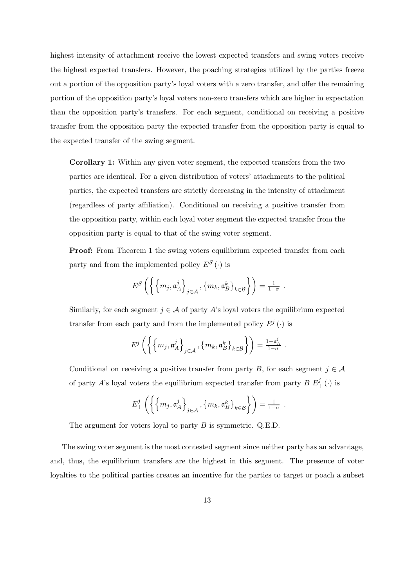highest intensity of attachment receive the lowest expected transfers and swing voters receive the highest expected transfers. However, the poaching strategies utilized by the parties freeze out a portion of the opposition party's loyal voters with a zero transfer, and offer the remaining portion of the opposition party's loyal voters non-zero transfers which are higher in expectation than the opposition party's transfers. For each segment, conditional on receiving a positive transfer from the opposition party the expected transfer from the opposition party is equal to the expected transfer of the swing segment.

Corollary 1: Within any given voter segment, the expected transfers from the two parties are identical. For a given distribution of voters' attachments to the political parties, the expected transfers are strictly decreasing in the intensity of attachment (regardless of party affiliation). Conditional on receiving a positive transfer from the opposition party, within each loyal voter segment the expected transfer from the opposition party is equal to that of the swing voter segment.

**Proof:** From Theorem 1 the swing voters equilibrium expected transfer from each party and from the implemented policy  $E^S(\cdot)$  is

$$
E^{S}\left(\left\{\left\{m_{j}, \mathfrak{a}_{A}^{j}\right\}_{j\in\mathcal{A}}, \left\{m_{k}, \mathfrak{a}_{B}^{k}\right\}_{k\in\mathcal{B}}\right\}\right) = \frac{1}{1-\sigma}.
$$

Similarly, for each segment  $j \in \mathcal{A}$  of party A's loyal voters the equilibrium expected transfer from each party and from the implemented policy  $E^j(\cdot)$  is

$$
E^j\left(\left\{\left\{m_j,\mathfrak{a}_A^j\right\}_{j\in\mathcal{A}},\left\{m_k,\mathfrak{a}_B^k\right\}_{k\in\mathcal{B}}\right\}\right)=\frac{1-\mathfrak{a}_A^j}{1-\sigma}
$$

.

.

Conditional on receiving a positive transfer from party B, for each segment  $j \in \mathcal{A}$ of party A's loyal voters the equilibrium expected transfer from party  $B E_{+}^{j}(\cdot)$  is

$$
E_{+}^{j}\left(\left\{\left\{m_{j}, \mathfrak{a}_{A}^{j}\right\}_{j \in \mathcal{A}}, \left\{m_{k}, \mathfrak{a}_{B}^{k}\right\}_{k \in \mathcal{B}}\right\}\right) = \frac{1}{1-\sigma}
$$

The argument for voters loyal to party B is symmetric. Q.E.D.

The swing voter segment is the most contested segment since neither party has an advantage, and, thus, the equilibrium transfers are the highest in this segment. The presence of voter loyalties to the political parties creates an incentive for the parties to target or poach a subset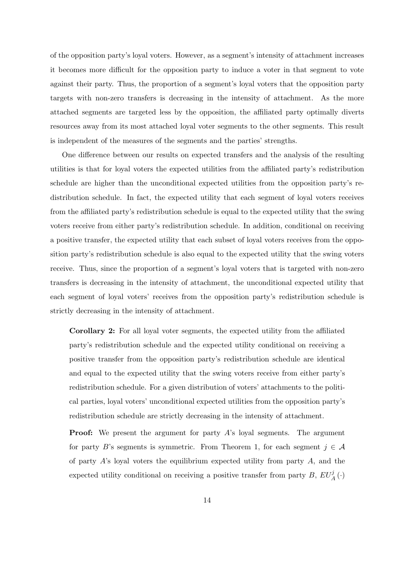of the opposition party's loyal voters. However, as a segment's intensity of attachment increases it becomes more difficult for the opposition party to induce a voter in that segment to vote against their party. Thus, the proportion of a segment's loyal voters that the opposition party targets with non-zero transfers is decreasing in the intensity of attachment. As the more attached segments are targeted less by the opposition, the affiliated party optimally diverts resources away from its most attached loyal voter segments to the other segments. This result is independent of the measures of the segments and the parties' strengths.

One difference between our results on expected transfers and the analysis of the resulting utilities is that for loyal voters the expected utilities from the affiliated party's redistribution schedule are higher than the unconditional expected utilities from the opposition party's redistribution schedule. In fact, the expected utility that each segment of loyal voters receives from the affiliated party's redistribution schedule is equal to the expected utility that the swing voters receive from either party's redistribution schedule. In addition, conditional on receiving a positive transfer, the expected utility that each subset of loyal voters receives from the opposition party's redistribution schedule is also equal to the expected utility that the swing voters receive. Thus, since the proportion of a segment's loyal voters that is targeted with non-zero transfers is decreasing in the intensity of attachment, the unconditional expected utility that each segment of loyal voters' receives from the opposition party's redistribution schedule is strictly decreasing in the intensity of attachment.

Corollary 2: For all loyal voter segments, the expected utility from the affiliated party's redistribution schedule and the expected utility conditional on receiving a positive transfer from the opposition party's redistribution schedule are identical and equal to the expected utility that the swing voters receive from either party's redistribution schedule. For a given distribution of voters' attachments to the political parties, loyal voters' unconditional expected utilities from the opposition party's redistribution schedule are strictly decreasing in the intensity of attachment.

**Proof:** We present the argument for party A's loyal segments. The argument for party B's segments is symmetric. From Theorem 1, for each segment  $j \in \mathcal{A}$ of party  $A$ 's loyal voters the equilibrium expected utility from party  $A$ , and the expected utility conditional on receiving a positive transfer from party  $B, EU_A^j(\cdot)$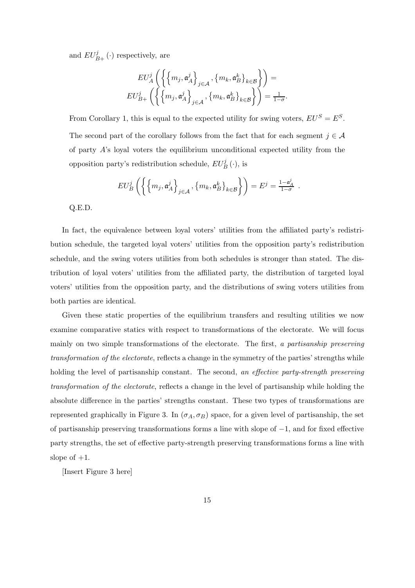and  $EU_{B+}^j(\cdot)$  respectively, are

$$
EU_A^j\left(\left\{\left\{m_j, \mathfrak{a}_A^j\right\}_{j\in\mathcal{A}}, \left\{m_k, \mathfrak{a}_B^k\right\}_{k\in\mathcal{B}}\right\}\right) =
$$
  

$$
EU_{B+}^j\left(\left\{\left\{m_j, \mathfrak{a}_A^j\right\}_{j\in\mathcal{A}}, \left\{m_k, \mathfrak{a}_B^k\right\}_{k\in\mathcal{B}}\right\}\right) = \frac{1}{1-\sigma}.
$$

From Corollary 1, this is equal to the expected utility for swing voters,  $E U^S = E^S$ . The second part of the corollary follows from the fact that for each segment  $j \in \mathcal{A}$ of party  $A$ 's loyal voters the equilibrium unconditional expected utility from the opposition party's redistribution schedule,  $EU_B^j(\cdot)$ , is

$$
EU_B^j\left(\left\{\left\{m_j,\mathfrak{a}_A^j\right\}_{j\in\mathcal{A}},\left\{m_k,\mathfrak{a}_B^k\right\}_{k\in\mathcal{B}}\right\}\right)=E^j=\frac{1-\mathfrak{a}_A^j}{1-\sigma}.
$$

Q.E.D.

In fact, the equivalence between loyal voters' utilities from the affiliated party's redistribution schedule, the targeted loyal voters' utilities from the opposition party's redistribution schedule, and the swing voters utilities from both schedules is stronger than stated. The distribution of loyal voters' utilities from the affiliated party, the distribution of targeted loyal voters' utilities from the opposition party, and the distributions of swing voters utilities from both parties are identical.

Given these static properties of the equilibrium transfers and resulting utilities we now examine comparative statics with respect to transformations of the electorate. We will focus mainly on two simple transformations of the electorate. The first, a partisanship preserving transformation of the electorate, reflects a change in the symmetry of the parties' strengths while holding the level of partisanship constant. The second, an effective party-strength preserving transformation of the electorate, reflects a change in the level of partisanship while holding the absolute difference in the parties' strengths constant. These two types of transformations are represented graphically in Figure 3. In  $(\sigma_A, \sigma_B)$  space, for a given level of partisanship, the set of partisanship preserving transformations forms a line with slope of −1, and for fixed effective party strengths, the set of effective party-strength preserving transformations forms a line with slope of  $+1$ .

[Insert Figure 3 here]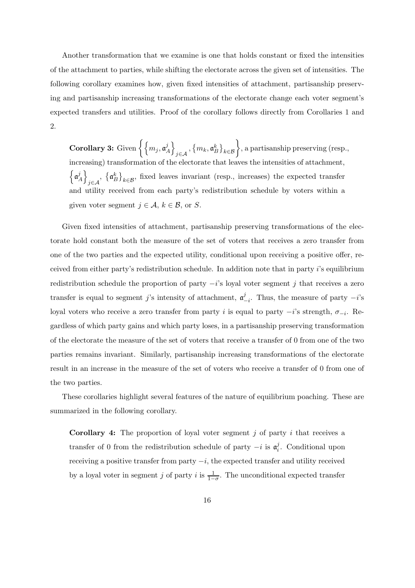Another transformation that we examine is one that holds constant or fixed the intensities of the attachment to parties, while shifting the electorate across the given set of intensities. The following corollary examines how, given fixed intensities of attachment, partisanship preserving and partisanship increasing transformations of the electorate change each voter segment's expected transfers and utilities. Proof of the corollary follows directly from Corollaries 1 and 2.

Corollary 3: Given  $\Big\{ \Big\{ m_j, a^j_j \Big\}$  $\left\{ \begin{array}{c} j \\ A \end{array} \right\}$  $\left\{m_k, \mathfrak{a}_B^k\right\}_{k\in\mathcal{B}}\bigg\}$ , a partisanship preserving (resp., increasing) transformation of the electorate that leaves the intensities of attachment,  $\int$ a<sup>j</sup>  $\left\{ \begin{array}{c} j \\ A \end{array} \right\}$  $\{\mathfrak{a}_{B}^{k}\}_{k\in\mathcal{B}}$ , fixed leaves invariant (resp., increases) the expected transfer and utility received from each party's redistribution schedule by voters within a given voter segment  $j \in \mathcal{A}, k \in \mathcal{B}$ , or S.

Given fixed intensities of attachment, partisanship preserving transformations of the electorate hold constant both the measure of the set of voters that receives a zero transfer from one of the two parties and the expected utility, conditional upon receiving a positive offer, received from either party's redistribution schedule. In addition note that in party i's equilibrium redistribution schedule the proportion of party  $-i$ 's loyal voter segment j that receives a zero transfer is equal to segment *j*'s intensity of attachment,  $a^j$  $\int_{-i}^{j}$ . Thus, the measure of party  $-i$ 's loyal voters who receive a zero transfer from party i is equal to party  $-i$ 's strength,  $\sigma_{-i}$ . Regardless of which party gains and which party loses, in a partisanship preserving transformation of the electorate the measure of the set of voters that receive a transfer of 0 from one of the two parties remains invariant. Similarly, partisanship increasing transformations of the electorate result in an increase in the measure of the set of voters who receive a transfer of 0 from one of the two parties.

These corollaries highlight several features of the nature of equilibrium poaching. These are summarized in the following corollary.

**Corollary 4:** The proportion of loyal voter segment  $j$  of party  $i$  that receives a transfer of 0 from the redistribution schedule of party  $-i$  is  $\mathfrak{a}_i^j$  $i$ . Conditional upon receiving a positive transfer from party  $-i$ , the expected transfer and utility received by a loyal voter in segment j of party i is  $\frac{1}{1-\sigma}$ . The unconditional expected transfer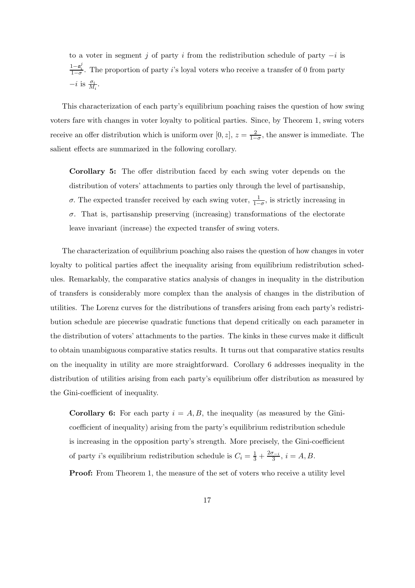to a voter in segment j of party i from the redistribution schedule of party  $-i$  is  $\frac{1-a_i^j}{1-\sigma}$ . The proportion of party i's loyal voters who receive a transfer of 0 from party  $-i$  is  $\frac{\sigma_i}{M_i}$ .

This characterization of each party's equilibrium poaching raises the question of how swing voters fare with changes in voter loyalty to political parties. Since, by Theorem 1, swing voters receive an offer distribution which is uniform over [0, z],  $z = \frac{2}{1-\sigma}$ , the answer is immediate. The salient effects are summarized in the following corollary.

Corollary 5: The offer distribution faced by each swing voter depends on the distribution of voters' attachments to parties only through the level of partisanship, σ. The expected transfer received by each swing voter,  $\frac{1}{1-\sigma}$ , is strictly increasing in  $\sigma$ . That is, partisanship preserving (increasing) transformations of the electorate leave invariant (increase) the expected transfer of swing voters.

The characterization of equilibrium poaching also raises the question of how changes in voter loyalty to political parties affect the inequality arising from equilibrium redistribution schedules. Remarkably, the comparative statics analysis of changes in inequality in the distribution of transfers is considerably more complex than the analysis of changes in the distribution of utilities. The Lorenz curves for the distributions of transfers arising from each party's redistribution schedule are piecewise quadratic functions that depend critically on each parameter in the distribution of voters' attachments to the parties. The kinks in these curves make it difficult to obtain unambiguous comparative statics results. It turns out that comparative statics results on the inequality in utility are more straightforward. Corollary 6 addresses inequality in the distribution of utilities arising from each party's equilibrium offer distribution as measured by the Gini-coefficient of inequality.

**Corollary 6:** For each party  $i = A, B$ , the inequality (as measured by the Ginicoefficient of inequality) arising from the party's equilibrium redistribution schedule is increasing in the opposition party's strength. More precisely, the Gini-coefficient of party *i*'s equilibrium redistribution schedule is  $C_i = \frac{1}{3} + \frac{2\sigma_{-i}}{3}$  $\frac{5-i}{3}, i = A, B.$ 

Proof: From Theorem 1, the measure of the set of voters who receive a utility level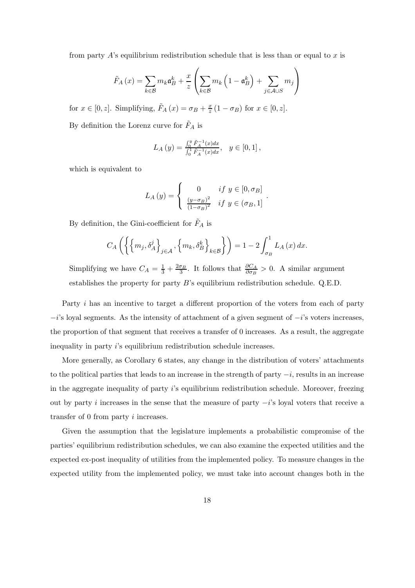from party  $A$ 's equilibrium redistribution schedule that is less than or equal to x is

$$
\tilde{F}_A(x) = \sum_{k \in \mathcal{B}} m_k \mathfrak{a}_B^k + \frac{x}{z} \left( \sum_{k \in \mathcal{B}} m_k \left( 1 - \mathfrak{a}_B^k \right) + \sum_{j \in \mathcal{A} \cup S} m_j \right)
$$

for  $x \in [0, z]$ . Simplifying,  $\tilde{F}_A(x) = \sigma_B + \frac{x}{z}$  $\frac{x}{z}(1-\sigma_B)$  for  $x \in [0, z]$ .

By definition the Lorenz curve for  $\tilde{F}_A$  is

$$
L_A(y) = \frac{\int_0^y \tilde{F}_A^{-1}(x) dx}{\int_0^1 \tilde{F}_A^{-1}(x) dx}, \quad y \in [0, 1],
$$

which is equivalent to

$$
L_A(y) = \begin{cases} 0 & \text{if } y \in [0, \sigma_B] \\ \frac{(y - \sigma_B)^2}{(1 - \sigma_B)^2} & \text{if } y \in (\sigma_B, 1] \end{cases}.
$$

By definition, the Gini-coefficient for  $\tilde{F}_A$  is

$$
C_A\left(\left\{\left\{m_j,\delta_A^j\right\}_{j\in\mathcal{A}},\left\{m_k,\delta_B^k\right\}_{k\in\mathcal{B}}\right\}\right)=1-2\int_{\sigma_B}^1L_A\left(x\right)dx.
$$

Simplifying we have  $C_A = \frac{1}{3} + \frac{2\sigma_B}{3}$ . It follows that  $\frac{\partial C_A}{\partial \sigma_B} > 0$ . A similar argument establishes the property for party B's equilibrium redistribution schedule. Q.E.D.

Party *i* has an incentive to target a different proportion of the voters from each of party  $-i$ 's loyal segments. As the intensity of attachment of a given segment of  $-i$ 's voters increases, the proportion of that segment that receives a transfer of 0 increases. As a result, the aggregate inequality in party i's equilibrium redistribution schedule increases.

More generally, as Corollary 6 states, any change in the distribution of voters' attachments to the political parties that leads to an increase in the strength of party  $-i$ , results in an increase in the aggregate inequality of party i's equilibrium redistribution schedule. Moreover, freezing out by party i increases in the sense that the measure of party  $-i$ 's loyal voters that receive a transfer of 0 from party i increases.

Given the assumption that the legislature implements a probabilistic compromise of the parties' equilibrium redistribution schedules, we can also examine the expected utilities and the expected ex-post inequality of utilities from the implemented policy. To measure changes in the expected utility from the implemented policy, we must take into account changes both in the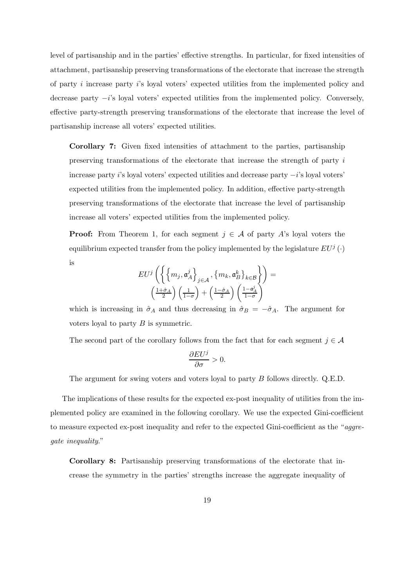level of partisanship and in the parties' effective strengths. In particular, for fixed intensities of attachment, partisanship preserving transformations of the electorate that increase the strength of party i increase party i's loyal voters' expected utilities from the implemented policy and decrease party −i's loyal voters' expected utilities from the implemented policy. Conversely, effective party-strength preserving transformations of the electorate that increase the level of partisanship increase all voters' expected utilities.

Corollary 7: Given fixed intensities of attachment to the parties, partisanship preserving transformations of the electorate that increase the strength of party  $i$ increase party  $i$ 's loyal voters' expected utilities and decrease party  $-i$ 's loyal voters' expected utilities from the implemented policy. In addition, effective party-strength preserving transformations of the electorate that increase the level of partisanship increase all voters' expected utilities from the implemented policy.

**Proof:** From Theorem 1, for each segment  $j \in \mathcal{A}$  of party A's loyal voters the equilibrium expected transfer from the policy implemented by the legislature  $EU^j(\cdot)$ is

$$
EU^j\left(\left\{\left\{m_j, \mathfrak{a}_A^j\right\}_{j\in\mathcal{A}}, \left\{m_k, \mathfrak{a}_B^k\right\}_{k\in\mathcal{B}}\right\}\right) = \left(\frac{1+\hat{\sigma}_A}{2}\right)\left(\frac{1}{1-\sigma}\right) + \left(\frac{1-\hat{\sigma}_A}{2}\right)\left(\frac{1-\mathfrak{a}_A^j}{1-\sigma}\right)
$$

which is increasing in  $\hat{\sigma}_A$  and thus decreasing in  $\hat{\sigma}_B = -\hat{\sigma}_A$ . The argument for voters loyal to party  $B$  is symmetric.

The second part of the corollary follows from the fact that for each segment  $j \in \mathcal{A}$ 

$$
\frac{\partial EU^j}{\partial \sigma} > 0.
$$

The argument for swing voters and voters loyal to party B follows directly. Q.E.D.

The implications of these results for the expected ex-post inequality of utilities from the implemented policy are examined in the following corollary. We use the expected Gini-coefficient to measure expected ex-post inequality and refer to the expected Gini-coefficient as the "aggregate inequality."

Corollary 8: Partisanship preserving transformations of the electorate that increase the symmetry in the parties' strengths increase the aggregate inequality of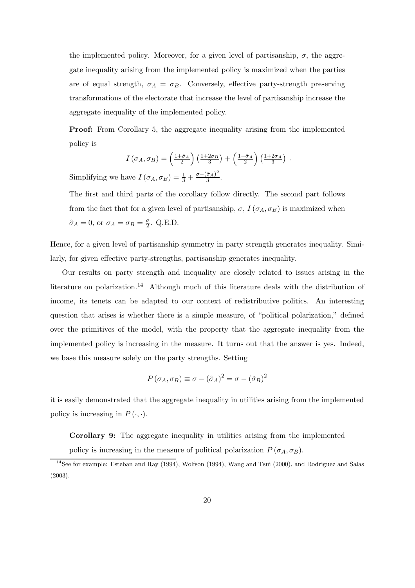the implemented policy. Moreover, for a given level of partisanship,  $\sigma$ , the aggregate inequality arising from the implemented policy is maximized when the parties are of equal strength,  $\sigma_A = \sigma_B$ . Conversely, effective party-strength preserving transformations of the electorate that increase the level of partisanship increase the aggregate inequality of the implemented policy.

Proof: From Corollary 5, the aggregate inequality arising from the implemented policy is

$$
I(\sigma_A, \sigma_B) = \left(\frac{1+\hat{\sigma}_A}{2}\right) \left(\frac{1+2\sigma_B}{3}\right) + \left(\frac{1-\hat{\sigma}_A}{2}\right) \left(\frac{1+2\sigma_A}{3}\right)
$$

.

Simplifying we have  $I(\sigma_A, \sigma_B) = \frac{1}{3} + \frac{\sigma - (\hat{\sigma}_A)^2}{3}$  $\frac{\sigma_{A}}{3}$ .

The first and third parts of the corollary follow directly. The second part follows from the fact that for a given level of partisanship,  $\sigma$ ,  $I(\sigma_A, \sigma_B)$  is maximized when  $\hat{\sigma}_A = 0$ , or  $\sigma_A = \sigma_B = \frac{\sigma}{2}$  $\frac{\sigma}{2}$ . Q.E.D.

Hence, for a given level of partisanship symmetry in party strength generates inequality. Similarly, for given effective party-strengths, partisanship generates inequality.

Our results on party strength and inequality are closely related to issues arising in the literature on polarization.<sup>14</sup> Although much of this literature deals with the distribution of income, its tenets can be adapted to our context of redistributive politics. An interesting question that arises is whether there is a simple measure, of "political polarization," defined over the primitives of the model, with the property that the aggregate inequality from the implemented policy is increasing in the measure. It turns out that the answer is yes. Indeed, we base this measure solely on the party strengths. Setting

$$
P(\sigma_A, \sigma_B) \equiv \sigma - (\hat{\sigma}_A)^2 = \sigma - (\hat{\sigma}_B)^2
$$

it is easily demonstrated that the aggregate inequality in utilities arising from the implemented policy is increasing in  $P(\cdot, \cdot)$ .

Corollary 9: The aggregate inequality in utilities arising from the implemented policy is increasing in the measure of political polarization  $P(\sigma_A, \sigma_B)$ .

<sup>14</sup>See for example: Esteban and Ray (1994), Wolfson (1994), Wang and Tsui (2000), and Rodriguez and Salas (2003).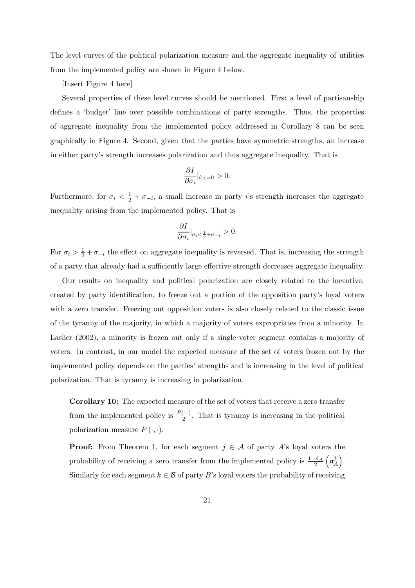The level curves of the political polarization measure and the aggregate inequality of utilities from the implemented policy are shown in Figure 4 below.

[Insert Figure 4 here]

Several properties of these level curves should be mentioned. First a level of partisanship defines a 'budget' line over possible combinations of party strengths. Thus, the properties of aggregate inequality from the implemented policy addressed in Corollary 8 can be seen graphically in Figure 4. Second, given that the parties have symmetric strengths, an increase in either party's strength increases polarization and thus aggregate inequality. That is

$$
\frac{\partial I}{\partial \sigma_i}|_{\hat{\sigma}_A=0}>0.
$$

Furthermore, for  $\sigma_i < \frac{1}{2} + \sigma_{-i}$ , a small increase in party *i*'s strength increases the aggregate inequality arising from the implemented policy. That is

$$
\frac{\partial I}{\partial \sigma_i}|_{\sigma_i<\frac{1}{2}+\sigma_{-i}}>0.
$$

For  $\sigma_i > \frac{1}{2} + \sigma_{-i}$  the effect on aggregate inequality is reversed. That is, increasing the strength of a party that already had a sufficiently large effective strength decreases aggregate inequality.

Our results on inequality and political polarization are closely related to the incentive, created by party identification, to freeze out a portion of the opposition party's loyal voters with a zero transfer. Freezing out opposition voters is also closely related to the classic issue of the tyranny of the majority, in which a majority of voters expropriates from a minority. In Laslier (2002), a minority is frozen out only if a single voter segment contains a majority of voters. In contrast, in our model the expected measure of the set of voters frozen out by the implemented policy depends on the parties' strengths and is increasing in the level of political polarization. That is tyranny is increasing in polarization.

Corollary 10: The expected measure of the set of voters that receive a zero transfer from the implemented policy is  $\frac{P(\cdot,\cdot)}{2}$ . That is tyranny is increasing in the political polarization measure  $P(\cdot, \cdot)$ .

**Proof:** From Theorem 1, for each segment  $j \in A$  of party A's loyal voters the probability of receiving a zero transfer from the implemented policy is  $\frac{1-\hat{\sigma}_A}{2}$   $\left(\mathfrak{a}_A^j\right)$  $\begin{pmatrix} j \\ A \end{pmatrix}$ . Similarly for each segment  $k \in \mathcal{B}$  of party B's loyal voters the probability of receiving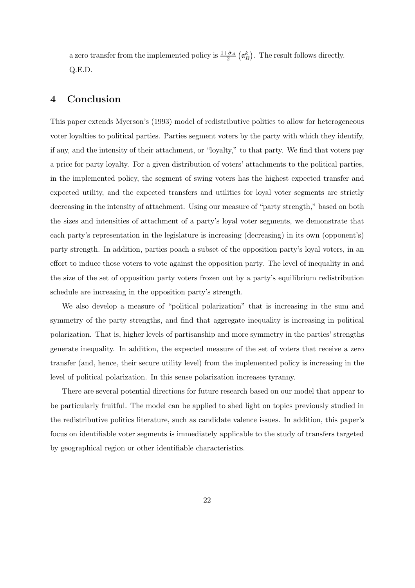a zero transfer from the implemented policy is  $\frac{1+\hat{\sigma}_A}{2}$   $(\mathfrak{a}_B^k)$ . The result follows directly. Q.E.D.

#### 4 Conclusion

This paper extends Myerson's (1993) model of redistributive politics to allow for heterogeneous voter loyalties to political parties. Parties segment voters by the party with which they identify, if any, and the intensity of their attachment, or "loyalty," to that party. We find that voters pay a price for party loyalty. For a given distribution of voters' attachments to the political parties, in the implemented policy, the segment of swing voters has the highest expected transfer and expected utility, and the expected transfers and utilities for loyal voter segments are strictly decreasing in the intensity of attachment. Using our measure of "party strength," based on both the sizes and intensities of attachment of a party's loyal voter segments, we demonstrate that each party's representation in the legislature is increasing (decreasing) in its own (opponent's) party strength. In addition, parties poach a subset of the opposition party's loyal voters, in an effort to induce those voters to vote against the opposition party. The level of inequality in and the size of the set of opposition party voters frozen out by a party's equilibrium redistribution schedule are increasing in the opposition party's strength.

We also develop a measure of "political polarization" that is increasing in the sum and symmetry of the party strengths, and find that aggregate inequality is increasing in political polarization. That is, higher levels of partisanship and more symmetry in the parties' strengths generate inequality. In addition, the expected measure of the set of voters that receive a zero transfer (and, hence, their secure utility level) from the implemented policy is increasing in the level of political polarization. In this sense polarization increases tyranny.

There are several potential directions for future research based on our model that appear to be particularly fruitful. The model can be applied to shed light on topics previously studied in the redistributive politics literature, such as candidate valence issues. In addition, this paper's focus on identifiable voter segments is immediately applicable to the study of transfers targeted by geographical region or other identifiable characteristics.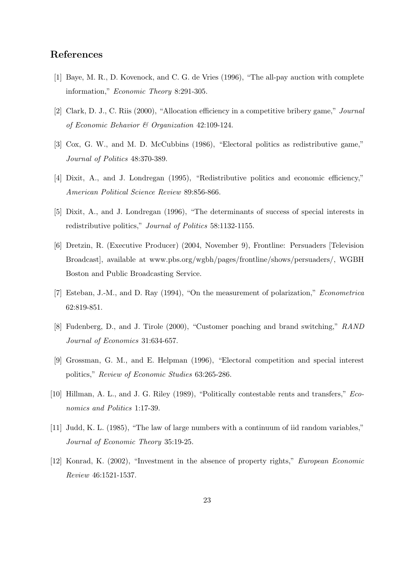#### References

- [1] Baye, M. R., D. Kovenock, and C. G. de Vries (1996), "The all-pay auction with complete information," Economic Theory 8:291-305.
- [2] Clark, D. J., C. Riis (2000), "Allocation efficiency in a competitive bribery game," Journal of Economic Behavior & Organization 42:109-124.
- [3] Cox, G. W., and M. D. McCubbins (1986), "Electoral politics as redistributive game," Journal of Politics 48:370-389.
- [4] Dixit, A., and J. Londregan (1995), "Redistributive politics and economic efficiency," American Political Science Review 89:856-866.
- [5] Dixit, A., and J. Londregan (1996), "The determinants of success of special interests in redistributive politics," Journal of Politics 58:1132-1155.
- [6] Dretzin, R. (Executive Producer) (2004, November 9), Frontline: Persuaders [Television Broadcast], available at www.pbs.org/wgbh/pages/frontline/shows/persuaders/, WGBH Boston and Public Broadcasting Service.
- [7] Esteban, J.-M., and D. Ray (1994), "On the measurement of polarization," Econometrica 62:819-851.
- [8] Fudenberg, D., and J. Tirole (2000), "Customer poaching and brand switching," RAND Journal of Economics 31:634-657.
- [9] Grossman, G. M., and E. Helpman (1996), "Electoral competition and special interest politics," Review of Economic Studies 63:265-286.
- [10] Hillman, A. L., and J. G. Riley (1989), "Politically contestable rents and transfers," *Eco*nomics and Politics 1:17-39.
- [11] Judd, K. L. (1985), "The law of large numbers with a continuum of iid random variables," Journal of Economic Theory 35:19-25.
- [12] Konrad, K. (2002), "Investment in the absence of property rights," European Economic Review 46:1521-1537.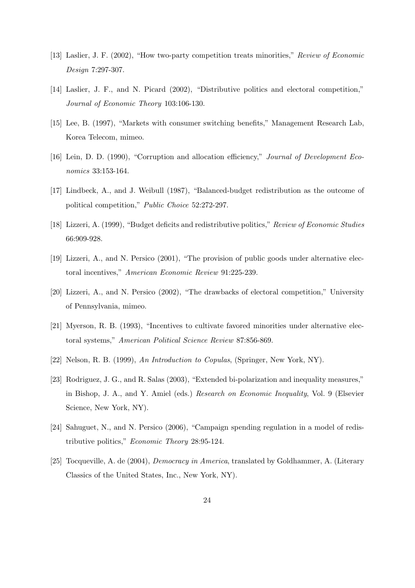- [13] Laslier, J. F. (2002), "How two-party competition treats minorities," Review of Economic Design 7:297-307.
- [14] Laslier, J. F., and N. Picard (2002), "Distributive politics and electoral competition," Journal of Economic Theory 103:106-130.
- [15] Lee, B. (1997), "Markets with consumer switching benefits," Management Research Lab, Korea Telecom, mimeo.
- [16] Lein, D. D. (1990), "Corruption and allocation efficiency," Journal of Development Economics 33:153-164.
- [17] Lindbeck, A., and J. Weibull (1987), "Balanced-budget redistribution as the outcome of political competition," Public Choice 52:272-297.
- [18] Lizzeri, A. (1999), "Budget deficits and redistributive politics," Review of Economic Studies 66:909-928.
- [19] Lizzeri, A., and N. Persico (2001), "The provision of public goods under alternative electoral incentives," American Economic Review 91:225-239.
- [20] Lizzeri, A., and N. Persico (2002), "The drawbacks of electoral competition," University of Pennsylvania, mimeo.
- [21] Myerson, R. B. (1993), "Incentives to cultivate favored minorities under alternative electoral systems," American Political Science Review 87:856-869.
- [22] Nelson, R. B. (1999), An Introduction to Copulas, (Springer, New York, NY).
- [23] Rodriguez, J. G., and R. Salas (2003), "Extended bi-polarization and inequality measures," in Bishop, J. A., and Y. Amiel (eds.) Research on Economic Inequality, Vol. 9 (Elsevier Science, New York, NY).
- [24] Sahuguet, N., and N. Persico (2006), "Campaign spending regulation in a model of redistributive politics," Economic Theory 28:95-124.
- [25] Tocqueville, A. de (2004), Democracy in America, translated by Goldhammer, A. (Literary Classics of the United States, Inc., New York, NY).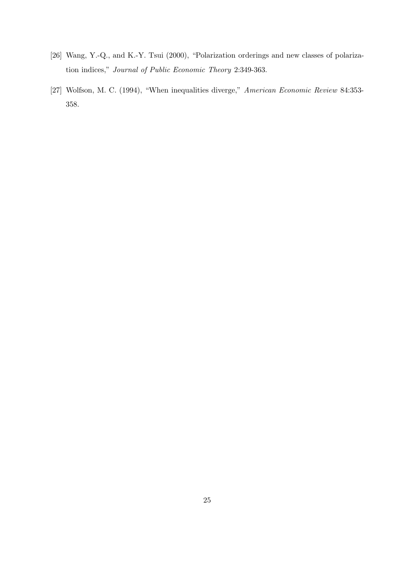- [26] Wang, Y.-Q., and K.-Y. Tsui (2000), "Polarization orderings and new classes of polarization indices," Journal of Public Economic Theory 2:349-363.
- [27] Wolfson, M. C. (1994), "When inequalities diverge," American Economic Review 84:353- 358.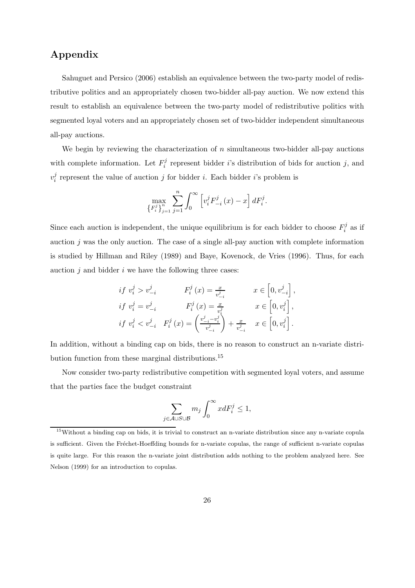# Appendix

Sahuguet and Persico (2006) establish an equivalence between the two-party model of redistributive politics and an appropriately chosen two-bidder all-pay auction. We now extend this result to establish an equivalence between the two-party model of redistributive politics with segmented loyal voters and an appropriately chosen set of two-bidder independent simultaneous all-pay auctions.

We begin by reviewing the characterization of  $n$  simultaneous two-bidder all-pay auctions with complete information. Let  $F_i^j$ <sup> $j$ </sup> represent bidder *i*'s distribution of bids for auction *j*, and  $v_i^j$  $i<sub>i</sub>$  represent the value of auction j for bidder i. Each bidder i's problem is

$$
\max_{\{F_i^j\}_{j=1}^n} \sum_{j=1}^n \int_0^\infty \left[ v_i^j F_{-i}^j(x) - x \right] dF_i^j.
$$

Since each auction is independent, the unique equilibrium is for each bidder to choose  $F_i^j$  $i^{\prime}$  as if auction  $j$  was the only auction. The case of a single all-pay auction with complete information is studied by Hillman and Riley (1989) and Baye, Kovenock, de Vries (1996). Thus, for each auction  $j$  and bidder  $i$  we have the following three cases:

$$
if \ v_i^j > v_{-i}^j \qquad F_i^j(x) = \frac{x}{v_{-i}^j} \qquad x \in \left[0, v_{-i}^j\right],
$$
  
\n
$$
if \ v_i^j = v_{-i}^j \qquad F_i^j(x) = \frac{x}{v_i^j} \qquad x \in \left[0, v_i^j\right],
$$
  
\n
$$
if \ v_i^j < v_{-i}^j \qquad F_i^j(x) = \left(\frac{v_{-i}^j - v_i^j}{v_{-i}^j}\right) + \frac{x}{v_{-i}^j} \qquad x \in \left[0, v_i^j\right].
$$

In addition, without a binding cap on bids, there is no reason to construct an n-variate distribution function from these marginal distributions.<sup>15</sup>

Now consider two-party redistributive competition with segmented loyal voters, and assume that the parties face the budget constraint

$$
\sum_{j \in \mathcal{A} \cup S \cup \mathcal{B}} m_j \int_0^\infty x dF_i^j \le 1,
$$

<sup>&</sup>lt;sup>15</sup>Without a binding cap on bids, it is trivial to construct an n-variate distribution since any n-variate copula is sufficient. Given the Fréchet-Hoeffding bounds for n-variate copulas, the range of sufficient n-variate copulas is quite large. For this reason the n-variate joint distribution adds nothing to the problem analyzed here. See Nelson (1999) for an introduction to copulas.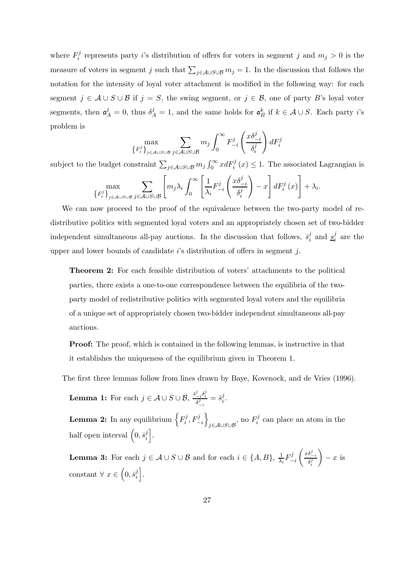where  $F_i^j$ <sup>1</sup>/<sub>i</sub> represents party i's distribution of offers for voters in segment j and  $m_j > 0$  is the measure of voters in segment j such that  $\sum_{j\in A\cup S\cup B} m_j = 1$ . In the discussion that follows the notation for the intensity of loyal voter attachment is modified in the following way: for each segment  $j \in A \cup S \cup B$  if  $j = S$ , the swing segment, or  $j \in B$ , one of party B's loyal voter segments, then  $\mathfrak{a}_A^j = 0$ , thus  $\delta_A^j = 1$ , and the same holds for  $\mathfrak{a}_B^k$  if  $k \in A \cup S$ . Each party *i*'s problem is

$$
\max_{\{F_i^j\}_{j \in A \cup S \cup B}} \sum_{j \in A \cup S \cup B} m_j \int_0^\infty F_{-i}^j \left(\frac{x \delta_{-i}^j}{\delta_i^j}\right) dF_i^j
$$

subject to the budget constraint  $\sum_{j\in A\cup S\cup B} m_j \int_0^\infty x dF_i^j(x) \leq 1$ . The associated Lagrangian is

$$
\max_{\left\{F_i^j\right\}_{j \in \mathcal{A} \cup S \cup \mathcal{B}}}\sum_{j \in \mathcal{A} \cup S \cup \mathcal{B}}\left[m_j\lambda_i \int_0^\infty \left[\frac{1}{\lambda_i}F_{-i}^j\left(\frac{x\delta_{-i}^j}{\delta_i^j}\right)-x\right]dF_i^j(x)\right]+\lambda_i.
$$

We can now proceed to the proof of the equivalence between the two-party model of redistributive politics with segmented loyal voters and an appropriately chosen set of two-bidder independent simultaneous all-pay auctions. In the discussion that follows,  $\bar{s}_i^j$  $i$  and  $s_i^j$  $\frac{J}{i}$  are the upper and lower bounds of candidate  $i$ 's distribution of offers in segment  $j$ .

Theorem 2: For each feasible distribution of voters' attachments to the political parties, there exists a one-to-one correspondence between the equilibria of the twoparty model of redistributive politics with segmented loyal voters and the equilibria of a unique set of appropriately chosen two-bidder independent simultaneous all-pay auctions.

Proof: The proof, which is contained in the following lemmas, is instructive in that it establishes the uniqueness of the equilibrium given in Theorem 1.

The first three lemmas follow from lines drawn by Baye, Kovenock, and de Vries (1996).

**Lemma 1:** For each  $j \in \mathcal{A} \cup S \cup \mathcal{B}$ ,  $\frac{\bar{s}^j_{-i} \delta_i^j}{\bar{s}^j_{-i}}$  $\frac{\overline{\partial}^j - i \overline{\partial}^j_i}{\delta^j_{-i}} = \bar{s}^j_i$  $\frac{j}{i}$  .

**Lemma 2:** In any equilibrium  $\left\{F_i^j\right\}$  $\left\{i^j, F^j_{-i}\right\}$ j∈ $\mathcal{A}\cup S\cup\mathcal{B}$ , no  $F_i^j$  $i_i^j$  can place an atom in the half open interval  $(0, \bar{s}^j_i)$  $\left. \begin{matrix} j \\ i \end{matrix} \right|.$ 

**Lemma 3:** For each  $j \in \mathcal{A} \cup S \cup \mathcal{B}$  and for each  $i \in \{A, B\}, \frac{1}{\lambda_i} F^j$  $-i$  $\int x \delta^j_{-i}$  $\delta_i^j$  $- x$  is constant  $\forall x \in (0, \bar{s}_i^j)$  $\left. \begin{matrix} j \\ i \end{matrix} \right|.$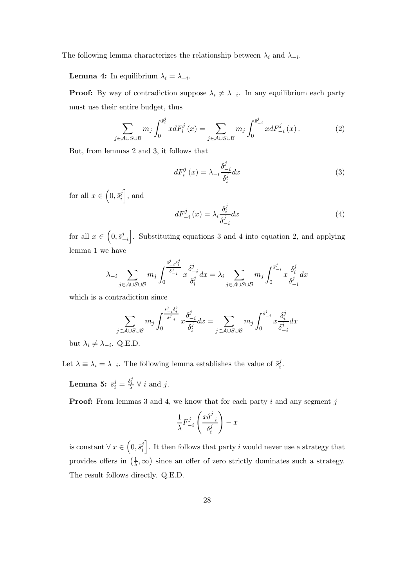The following lemma characterizes the relationship between  $\lambda_i$  and  $\lambda_{-i}$ .

**Lemma 4:** In equilibrium  $\lambda_i = \lambda_{-i}$ .

**Proof:** By way of contradiction suppose  $\lambda_i \neq \lambda_{-i}$ . In any equilibrium each party must use their entire budget, thus

$$
\sum_{j \in \mathcal{A} \cup S \cup \mathcal{B}} m_j \int_0^{\bar{s}_i^j} x dF_i^j(x) = \sum_{j \in \mathcal{A} \cup S \cup \mathcal{B}} m_j \int_0^{\bar{s}_{-i}^j} x dF_{-i}^j(x).
$$
 (2)

But, from lemmas 2 and 3, it follows that

$$
dF_i^j(x) = \lambda_{-i} \frac{\delta_{-i}^j}{\delta_i^j} dx
$$
\n(3)

for all  $x \in \left(0, \bar{s}_i^j\right)$  $\begin{bmatrix} j \\ i \end{bmatrix}$ , and

$$
dF_{-i}^{j}\left(x\right) = \lambda_{i} \frac{\delta_{i}^{j}}{\delta_{-i}^{j}} dx\tag{4}
$$

for all  $x \in \left(0, \bar{s}^j\right]$  $\begin{bmatrix} i \\ -i \end{bmatrix}$ . Substituting equations 3 and 4 into equation 2, and applying lemma 1 we have

$$
\lambda_{-i}\sum_{j\in\mathcal{A}\cup S\cup\mathcal{B}}m_j\int_0^{\frac{\bar{s}^j_{-i}\delta^j_i}{\delta^j_{-i}}}x\frac{\delta^j_{-i}}{\delta^j_i}dx=\lambda_i\sum_{j\in\mathcal{A}\cup S\cup\mathcal{B}}m_j\int_0^{\bar{s}^j_{-i}}x\frac{\delta^j_i}{\delta^j_{-i}}dx
$$

which is a contradiction since

$$
\sum_{j \in \mathcal{A} \cup S \cup \mathcal{B}} m_j \int_0^{\frac{\bar{s}^j - i \delta_i^j}{\delta_{-i}^j}} x \frac{\delta_{-i}^j}{\delta_i^j} dx = \sum_{j \in \mathcal{A} \cup S \cup \mathcal{B}} m_j \int_0^{\bar{s}_{-i}^j} x \frac{\delta_i^j}{\delta_{-i}^j} dx
$$

but  $\lambda_i \neq \lambda_{-i}$ . Q.E.D.

Let  $\lambda \equiv \lambda_i = \lambda_{-i}$ . The following lemma establishes the value of  $\bar{s}_i^j$  $\frac{j}{i}$ .

j

**Lemma 5:**  $\bar{s}_i^j = \frac{\delta_i^j}{\lambda} \ \forall \ i \text{ and } j.$ 

**Proof:** From lemmas 3 and 4, we know that for each party  $i$  and any segment  $j$ 

$$
\frac{1}{\lambda}F_{-i}^j\left(\frac{x\delta_{-i}^j}{\delta_i^j}\right)-x
$$

is constant  $\forall x \in \left(0, \bar{s}_i^j\right)$  $\binom{j}{i}$ . It then follows that party *i* would never use a strategy that provides offers in  $(\frac{1}{\lambda}, \infty)$  since an offer of zero strictly dominates such a strategy. The result follows directly. Q.E.D.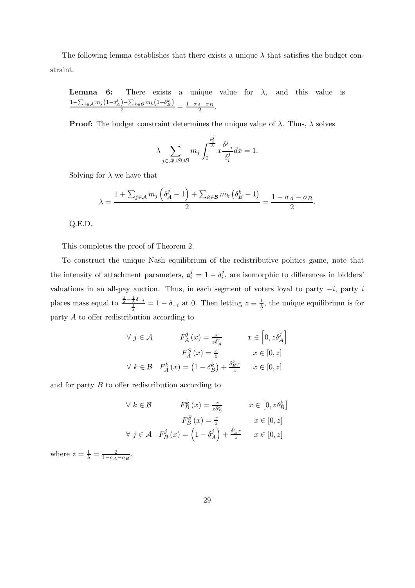The following lemma establishes that there exists a unique  $\lambda$  that satisfies the budget constraint.

**Lemma 6:** There exists a unique value for  $\lambda$ , and this value is  $\frac{1-\sum_{j\in\mathcal{A}}m_j(1-\delta^j_A)-\sum_{k\in\mathcal{B}}m_k(1-\delta^k_B)}{2} = \frac{1-\sigma_A-\sigma_B}{2}.$ 

**Proof:** The budget constraint determines the unique value of  $\lambda$ . Thus,  $\lambda$  solves

$$
\lambda \sum_{j \in \mathcal{A} \cup S \cup \mathcal{B}} m_j \int_0^{\frac{\delta_i^j}{\lambda}} x \frac{\delta_{-i}^j}{\delta_i^j} dx = 1.
$$

Solving for  $\lambda$  we have that

$$
\lambda = \frac{1 + \sum_{j \in \mathcal{A}} m_j \left(\delta_A^j - 1\right) + \sum_{k \in \mathcal{B}} m_k \left(\delta_B^k - 1\right)}{2} = \frac{1 - \sigma_A - \sigma_B}{2}.
$$

Q.E.D.

This completes the proof of Theorem 2.

To construct the unique Nash equilibrium of the redistributive politics game, note that the intensity of attachment parameters,  $a_i^j = 1 - \delta_i^j$  $i<sub>i</sub>$ , are isomorphic to differences in bidders' valuations in an all-pay auction. Thus, in each segment of voters loyal to party  $-i$ , party i places mass equal to  $\frac{\frac{1}{\lambda} - \frac{1}{\lambda}\delta_{-i}}{\frac{1}{\lambda}} = 1 - \delta_{-i}$  at 0. Then letting  $z \equiv \frac{1}{\lambda}$ , the unique equilibrium is for party A to offer redistribution according to

$$
\forall j \in \mathcal{A} \qquad F_A^j(x) = \frac{x}{z \delta_A^j} \qquad x \in \left[0, z \delta_A^j\right]
$$

$$
F_A^S(x) = \frac{x}{z} \qquad x \in \left[0, z\right]
$$

$$
\forall k \in \mathcal{B} \quad F_A^k(x) = \left(1 - \delta_B^k\right) + \frac{\delta_B^k x}{z} \qquad x \in \left[0, z\right]
$$

and for party  $B$  to offer redistribution according to

$$
\forall k \in \mathcal{B} \qquad F_B^k(x) = \frac{x}{z \delta_B^k} \qquad x \in [0, z \delta_B^k]
$$

$$
F_B^S(x) = \frac{x}{z} \qquad x \in [0, z]
$$

$$
\forall j \in \mathcal{A} \quad F_B^j(x) = \left(1 - \delta_A^j\right) + \frac{\delta_A^j x}{z} \qquad x \in [0, z]
$$

where  $z = \frac{1}{\lambda} = \frac{2}{1 - \sigma_A - \sigma_B}$ .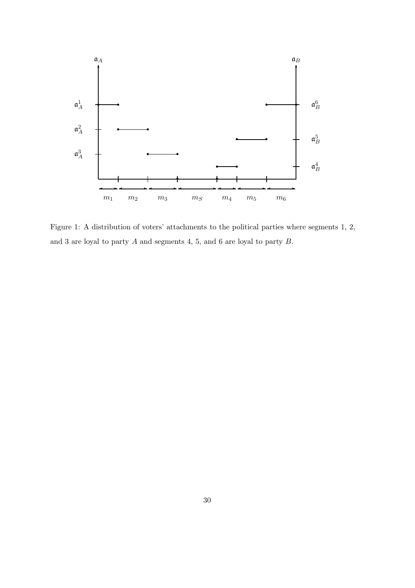

Figure 1: A distribution of voters' attachments to the political parties where segments 1, 2, and 3 are loyal to party A and segments 4, 5, and 6 are loyal to party B.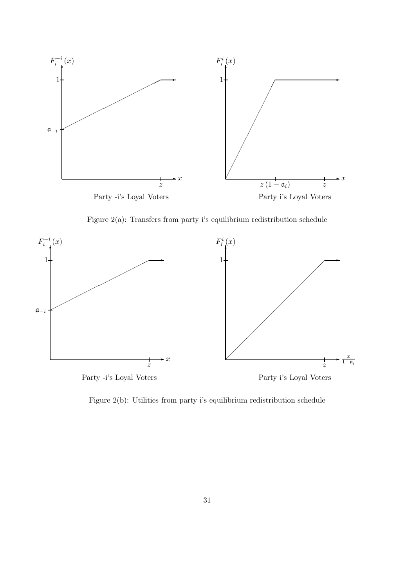

Figure 2(a): Transfers from party i's equilibrium redistribution schedule



Party -i's Loyal Voters

Party i's Loyal Voters

Figure 2(b): Utilities from party i's equilibrium redistribution schedule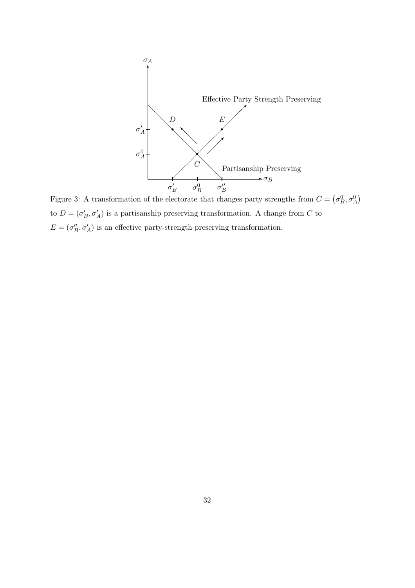

Figure 3: A transformation of the electorate that changes party strengths from  $C = (\sigma_B^0, \sigma_A^0)$ to  $D = (\sigma_B', \sigma_A')$  is a partisanship preserving transformation. A change from C to  $E = (\sigma''_B, \sigma'_A)$  is an effective party-strength preserving transformation.